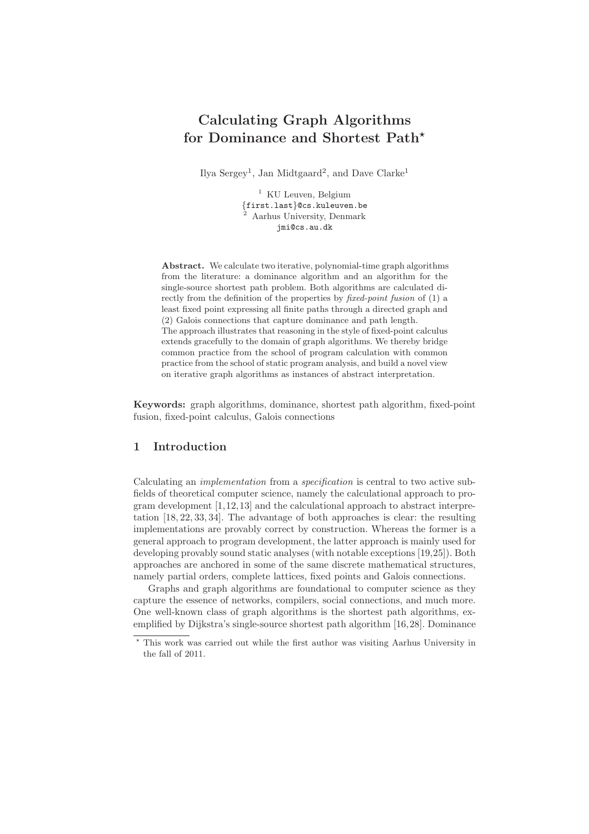# Calculating Graph Algorithms for Dominance and Shortest Path<sup>\*</sup>

Ilya Sergey<sup>1</sup>, Jan Midtgaard<sup>2</sup>, and Dave Clarke<sup>1</sup>

<sup>1</sup> KU Leuven, Belgium {first.last}@cs.kuleuven.be <sup>2</sup> Aarhus University, Denmark jmi@cs.au.dk

Abstract. We calculate two iterative, polynomial-time graph algorithms from the literature: a dominance algorithm and an algorithm for the single-source shortest path problem. Both algorithms are calculated directly from the definition of the properties by *fixed-point fusion* of (1) a least fixed point expressing all finite paths through a directed graph and (2) Galois connections that capture dominance and path length. The approach illustrates that reasoning in the style of fixed-point calculus extends gracefully to the domain of graph algorithms. We thereby bridge common practice from the school of program calculation with common practice from the school of static program analysis, and build a novel view on iterative graph algorithms as instances of abstract interpretation.

Keywords: graph algorithms, dominance, shortest path algorithm, fixed-point fusion, fixed-point calculus, Galois connections

# 1 Introduction

Calculating an implementation from a specification is central to two active subfields of theoretical computer science, namely the calculational approach to program development [1,12,13] and the calculational approach to abstract interpretation [18, 22, 33, 34]. The advantage of both approaches is clear: the resulting implementations are provably correct by construction. Whereas the former is a general approach to program development, the latter approach is mainly used for developing provably sound static analyses (with notable exceptions [19,25]). Both approaches are anchored in some of the same discrete mathematical structures, namely partial orders, complete lattices, fixed points and Galois connections.

Graphs and graph algorithms are foundational to computer science as they capture the essence of networks, compilers, social connections, and much more. One well-known class of graph algorithms is the shortest path algorithms, exemplified by Dijkstra's single-source shortest path algorithm [16,28]. Dominance

<sup>⋆</sup> This work was carried out while the first author was visiting Aarhus University in the fall of 2011.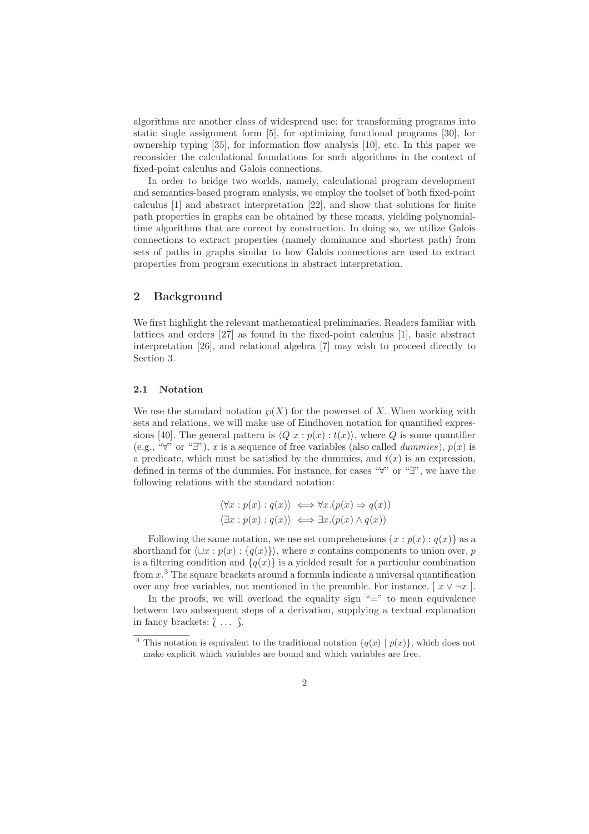algorithms are another class of widespread use: for transforming programs into static single assignment form [5], for optimizing functional programs [30], for ownership typing [35], for information flow analysis [10], etc. In this paper we reconsider the calculational foundations for such algorithms in the context of fixed-point calculus and Galois connections.

In order to bridge two worlds, namely, calculational program development and semantics-based program analysis, we employ the toolset of both fixed-point calculus [1] and abstract interpretation [22], and show that solutions for finite path properties in graphs can be obtained by these means, yielding polynomialtime algorithms that are correct by construction. In doing so, we utilize Galois connections to extract properties (namely dominance and shortest path) from sets of paths in graphs similar to how Galois connections are used to extract properties from program executions in abstract interpretation.

# 2 Background

We first highlight the relevant mathematical preliminaries. Readers familiar with lattices and orders [27] as found in the fixed-point calculus [1], basic abstract interpretation [26], and relational algebra [7] may wish to proceed directly to Section 3.

# 2.1 Notation

We use the standard notation  $\mathcal{O}(X)$  for the powerset of X. When working with sets and relations, we will make use of Eindhoven notation for quantified expressions [40]. The general pattern is  $\langle Q \ x : p(x) : t(x) \rangle$ , where Q is some quantifier (e.g., " $\forall$ " or " $\exists$ "), x is a sequence of free variables (also called *dumnies*),  $p(x)$  is a predicate, which must be satisfied by the dummies, and  $t(x)$  is an expression, defined in terms of the dummies. For instance, for cases "∀" or "∃", we have the following relations with the standard notation:

$$
\langle \forall x : p(x) : q(x) \rangle \iff \forall x . (p(x) \Rightarrow q(x))
$$
  

$$
\langle \exists x : p(x) : q(x) \rangle \iff \exists x . (p(x) \land q(x))
$$

Following the same notation, we use set comprehensions  $\{x : p(x) : q(x)\}\)$  as a shorthand for  $\langle \bigcup x : p(x) : \{q(x)\}\rangle$ , where x contains components to union over, p is a filtering condition and  $\{q(x)\}\$ is a yielded result for a particular combination from x. <sup>3</sup> The square brackets around a formula indicate a universal quantification over any free variables, not mentioned in the preamble. For instance,  $[x \vee \neg x]$ .

In the proofs, we will overload the equality sign " $=$ " to mean equivalence between two subsequent steps of a derivation, supplying a textual explanation in fancy brackets:  $\lambda$ ...  $\lambda$ .

<sup>&</sup>lt;sup>3</sup> This notation is equivalent to the traditional notation  $\{q(x) | p(x)\}\$ , which does not make explicit which variables are bound and which variables are free.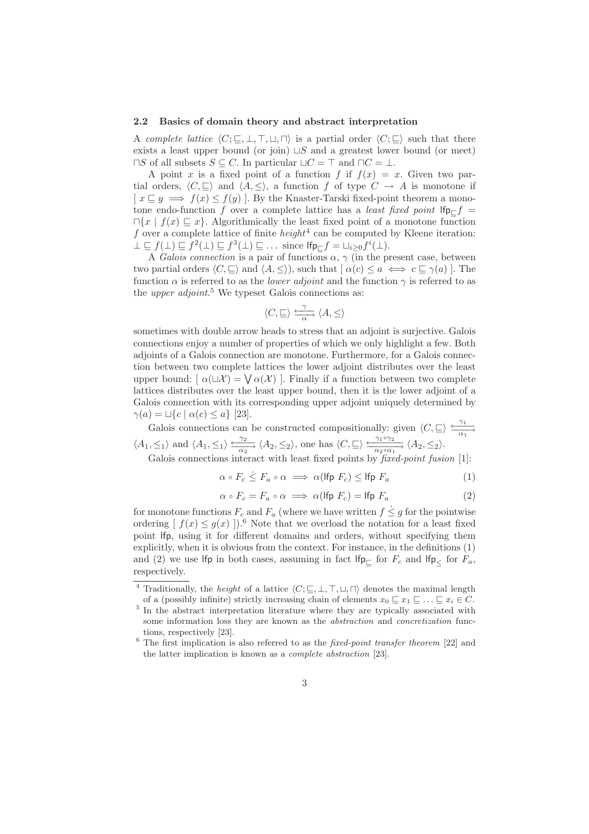#### 2.2 Basics of domain theory and abstract interpretation

A complete lattice  $\langle C; \underline{\sqsubseteq}, \bot, \top, \bot, \sqcap \rangle$  is a partial order  $\langle C; \underline{\sqsubseteq} \rangle$  such that there exists a least upper bound (or join)  $\sqcup S$  and a greatest lower bound (or meet)  $\Box S$  of all subsets  $S \subseteq C$ . In particular  $\Box C = \top$  and  $\Box C = \bot$ .

A point x is a fixed point of a function f if  $f(x) = x$ . Given two partial orders,  $\langle C, \sqsubseteq \rangle$  and  $\langle A, \leq \rangle$ , a function f of type  $C \to A$  is monotone if  $[x \sqsubseteq y \implies f(x) \leq f(y)]$ . By the Knaster-Tarski fixed-point theorem a monotone endo-function f over a complete lattice has a least fixed point lfp<sub>⊏</sub>f =  $\Box\{x \mid f(x) \sqsubseteq x\}$ . Algorithmically the least fixed point of a monotone function f over a complete lattice of finite  $height<sup>4</sup>$  can be computed by Kleene iteration:  $\bot \sqsubseteq f(\bot) \sqsubseteq f^2(\bot) \sqsubseteq f^3(\bot) \sqsubseteq \ldots$  since  $\mathsf{lfp}_{\sqsubseteq} f = \sqcup_{i \geq 0} f^i(\bot)$ .

A Galois connection is a pair of functions  $\alpha$ ,  $\gamma$  (in the present case, between two partial orders  $\langle C, \sqsubseteq \rangle$  and  $\langle A, \leq \rangle$ , such that  $\lceil \alpha(c) \leq a \iff c \sqsubseteq \gamma(a) \rceil$ . The function  $\alpha$  is referred to as the *lower adjoint* and the function  $\gamma$  is referred to as the *upper adjoint*.<sup>5</sup> We typeset Galois connections as:

$$
\langle C,\sqsubseteq\rangle\ \stackrel{\gamma}{\over \longrightarrow}\langle A,\leq\rangle
$$

sometimes with double arrow heads to stress that an adjoint is surjective. Galois connections enjoy a number of properties of which we only highlight a few. Both adjoints of a Galois connection are monotone. Furthermore, for a Galois connection between two complete lattices the lower adjoint distributes over the least upper bound:  $[\alpha(\sqcup \mathcal{X})] = \bigvee \alpha(\mathcal{X})$ . Finally if a function between two complete lattices distributes over the least upper bound, then it is the lower adjoint of a Galois connection with its corresponding upper adjoint uniquely determined by  $\gamma(a) = \sqcup \{c \mid \alpha(c) \leq a\}$  [23].

Galois connections can be constructed compositionally: given  $\langle C, \subseteq \rangle \frac{\cdot \cdot}{\cdot - \cdot - \cdot}$  $\gamma_1$  $\langle A_1, \leq_1 \rangle$  and  $\langle A_1, \leq_1 \rangle \xrightarrow[\alpha_2]{\gamma_2}$  $\frac{\gamma_2}{\alpha_2}$   $\langle A_2, \leq_2 \rangle$ , one has  $\langle C, \sqsubseteq \rangle$   $\frac{\gamma_1 \circ \gamma_2}{\alpha_2 \circ \alpha_1}$  $\frac{\gamma_1 \circ \gamma_2}{\gamma_2 \circ \gamma_3} \langle A_2, \leq_2 \rangle.$ 

Galois connections interact with least fixed points by *fixed-point fusion* [1]:

$$
\alpha \circ F_c \leq F_a \circ \alpha \implies \alpha(\text{Ifp } F_c) \leq \text{Ifp } F_a \tag{1}
$$

$$
\alpha \circ F_c = F_a \circ \alpha \implies \alpha(\text{Ifp } F_c) = \text{Ifp } F_a \tag{2}
$$

for monotone functions  $F_c$  and  $F_a$  (where we have written  $f \leq g$  for the pointwise ordering  $[f(x) \leq g(x)]$ .<sup>6</sup> Note that we overload the notation for a least fixed point lfp, using it for different domains and orders, without specifying them explicitly, when it is obvious from the context. For instance, in the definitions (1) and (2) we use lfp in both cases, assuming in fact lfp<sub>⊏</sub> for  $F_c$  and lfp<sub><</sub> for  $F_a$ , respectively.

<sup>&</sup>lt;sup>4</sup> Traditionally, the *height* of a lattice  $\langle C; \sqsubseteq, \bot, \top, \sqcup, \sqcap \rangle$  denotes the maximal length of a (possibly infinite) strictly increasing chain of elements  $x_0 \sqsubseteq x_1 \sqsubseteq \ldots \sqsubseteq x_i \in C$ .

<sup>&</sup>lt;sup>5</sup> In the abstract interpretation literature where they are typically associated with some information loss they are known as the *abstraction* and *concretization* functions, respectively [23].

<sup>6</sup> The first implication is also referred to as the *fixed-point transfer theorem* [22] and the latter implication is known as a *complete abstraction* [23].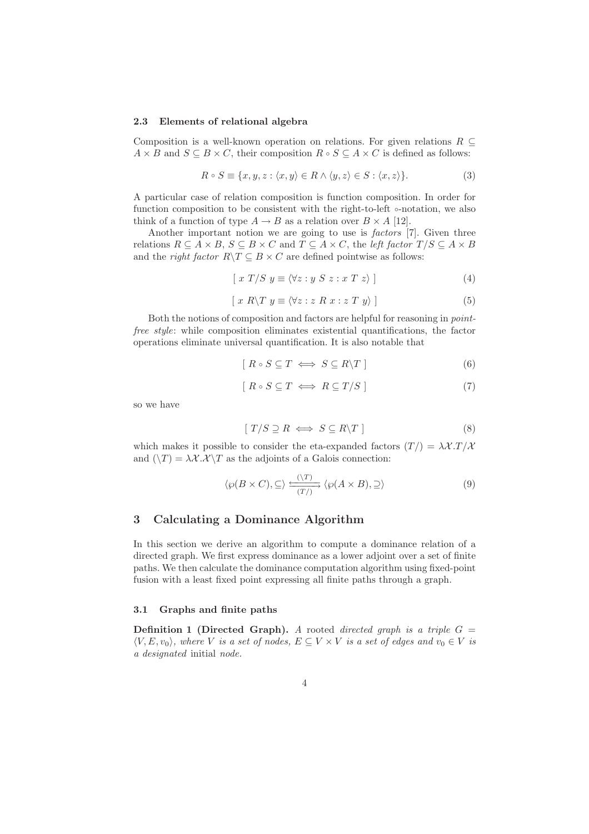#### 2.3 Elements of relational algebra

Composition is a well-known operation on relations. For given relations  $R \subseteq$  $A \times B$  and  $S \subseteq B \times C$ , their composition  $R \circ S \subseteq A \times C$  is defined as follows:

$$
R \circ S \equiv \{x, y, z : \langle x, y \rangle \in R \land \langle y, z \rangle \in S : \langle x, z \rangle\}.
$$
 (3)

A particular case of relation composition is function composition. In order for function composition to be consistent with the right-to-left ◦-notation, we also think of a function of type  $A \rightarrow B$  as a relation over  $B \times A$  [12].

Another important notion we are going to use is factors [7]. Given three relations  $R \subseteq A \times B$ ,  $S \subseteq B \times C$  and  $T \subseteq A \times C$ , the *left factor*  $T/S \subseteq A \times B$ and the *right factor*  $R \backslash T \subseteq B \times C$  are defined pointwise as follows:

$$
[ x T/S y \equiv \langle \forall z : y S z : x T z \rangle ] \tag{4}
$$

$$
[ x R \backslash T \ y \equiv \langle \forall z : z R \ x : z T \ y \rangle ] \tag{5}
$$

Both the notions of composition and factors are helpful for reasoning in pointfree style: while composition eliminates existential quantifications, the factor operations eliminate universal quantification. It is also notable that

$$
[R \circ S \subseteq T \iff S \subseteq R \backslash T]
$$
 (6)

$$
[R \circ S \subseteq T \iff R \subseteq T/S] \tag{7}
$$

so we have

$$
[T/S \supseteq R \iff S \subseteq R \backslash T]
$$
 (8)

which makes it possible to consider the eta-expanded factors  $(T/)=\lambda \mathcal{X}.T/\mathcal{X}$ and  $(\nabla T) = \lambda \mathcal{X} \cdot \mathcal{X} \cdot T$  as the adjoints of a Galois connection:

$$
\langle \wp(B \times C), \subseteq \rangle \xrightarrow{\langle \langle T \rangle \rangle} \langle \wp(A \times B), \supseteq \rangle
$$
 (9)

## 3 Calculating a Dominance Algorithm

In this section we derive an algorithm to compute a dominance relation of a directed graph. We first express dominance as a lower adjoint over a set of finite paths. We then calculate the dominance computation algorithm using fixed-point fusion with a least fixed point expressing all finite paths through a graph.

### 3.1 Graphs and finite paths

**Definition 1 (Directed Graph).** A rooted directed graph is a triple  $G =$  $\langle V, E, v_0 \rangle$ , where V is a set of nodes,  $E \subseteq V \times V$  is a set of edges and  $v_0 \in V$  is a designated initial node.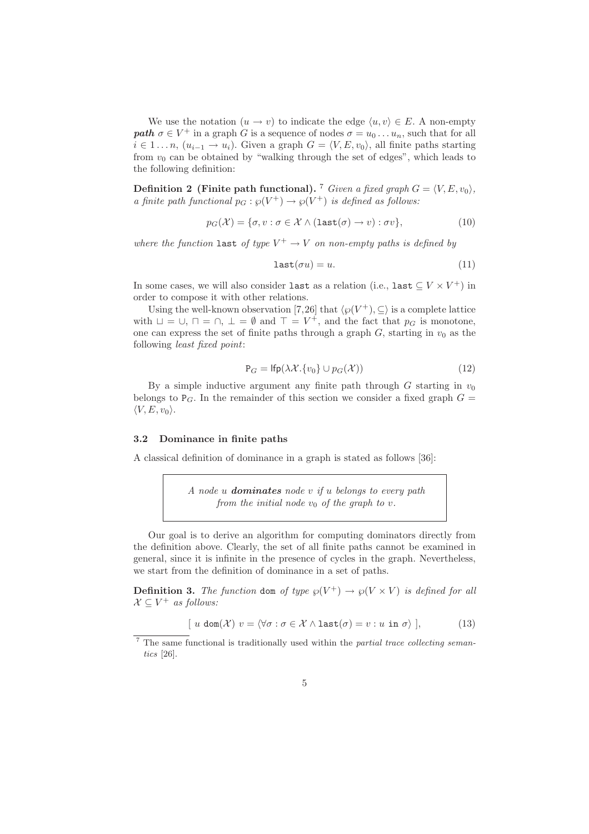We use the notation  $(u \to v)$  to indicate the edge  $\langle u, v \rangle \in E$ . A non-empty **path**  $\sigma \in V^+$  in a graph G is a sequence of nodes  $\sigma = u_0 \dots u_n$ , such that for all  $i \in 1 \ldots n$ ,  $(u_{i-1} \to u_i)$ . Given a graph  $G = \langle V, E, v_0 \rangle$ , all finite paths starting from  $v_0$  can be obtained by "walking through the set of edges", which leads to the following definition:

**Definition 2** (Finite path functional). <sup>7</sup> Given a fixed graph  $G = \langle V, E, v_0 \rangle$ , a finite path functional  $p_G : \wp(V^+) \to \wp(V^+)$  is defined as follows:

$$
p_G(\mathcal{X}) = \{\sigma, v : \sigma \in \mathcal{X} \land (\text{last}(\sigma) \to v) : \sigma v\},\tag{10}
$$

where the function last of type  $V^+ \to V$  on non-empty paths is defined by

$$
last(\sigma u) = u.
$$
 (11)

In some cases, we will also consider last as a relation (i.e., last  $\subseteq V \times V^+$ ) in order to compose it with other relations.

Using the well-known observation [7,26] that  $\langle \wp(V^+), \subseteq \rangle$  is a complete lattice with  $\Box = \cup, \Box = \cap, \bot = \emptyset$  and  $\Box = V^+$ , and the fact that  $p_G$  is monotone, one can express the set of finite paths through a graph  $G$ , starting in  $v_0$  as the following least fixed point:

$$
P_G = \mathsf{Ifp}(\lambda \mathcal{X}.\{v_0\} \cup p_G(\mathcal{X}))\tag{12}
$$

By a simple inductive argument any finite path through G starting in  $v_0$ belongs to  $P_G$ . In the remainder of this section we consider a fixed graph  $G =$  $\langle V,E,v_0\rangle$ .

# 3.2 Dominance in finite paths

A classical definition of dominance in a graph is stated as follows [36]:

A node u **dominates** node  $v$  if  $u$  belongs to every path from the initial node  $v_0$  of the graph to v.

Our goal is to derive an algorithm for computing dominators directly from the definition above. Clearly, the set of all finite paths cannot be examined in general, since it is infinite in the presence of cycles in the graph. Nevertheless, we start from the definition of dominance in a set of paths.

**Definition 3.** The function dom of type  $\wp(V^+) \to \wp(V \times V)$  is defined for all  $\mathcal{X} \subseteq V^+$  as follows:

$$
[ u \text{ dom}(\mathcal{X}) v = \langle \forall \sigma : \sigma \in \mathcal{X} \land \mathtt{last}(\sigma) = v : u \text{ in } \sigma \rangle ], \tag{13}
$$

<sup>7</sup> The same functional is traditionally used within the *partial trace collecting semantics* [26].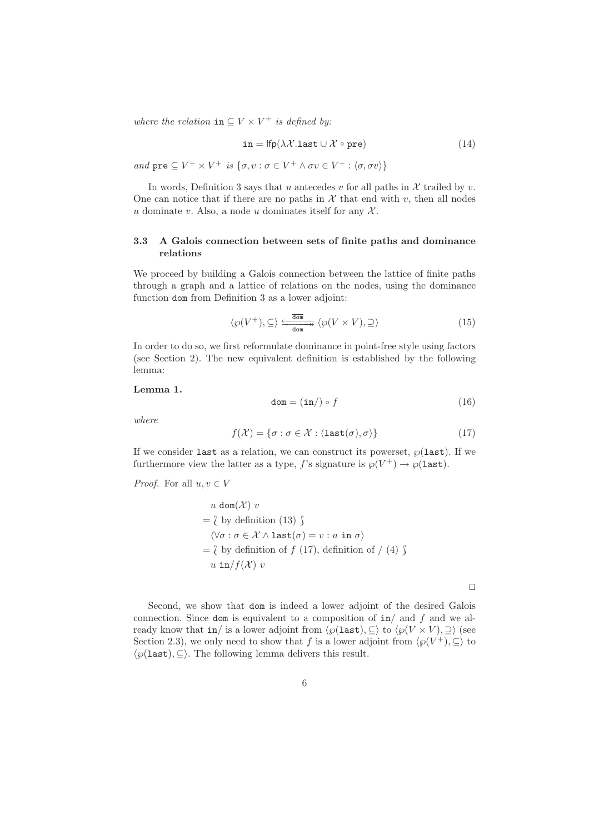where the relation in  $\subseteq V \times V^+$  is defined by:

$$
\text{in} = \text{Ifp}(\lambda \mathcal{X}.\text{last} \cup \mathcal{X} \circ \text{pre}) \tag{14}
$$

and pre  $\subseteq V^+ \times V^+$  is  $\{\sigma, v : \sigma \in V^+ \wedge \sigma v \in V^+ : \langle \sigma, \sigma v \rangle\}$ 

In words, Definition 3 says that u antecedes v for all paths in  $X$  trailed by v. One can notice that if there are no paths in  $\mathcal X$  that end with v, then all nodes u dominate v. Also, a node u dominates itself for any  $\mathcal{X}$ .

# 3.3 A Galois connection between sets of finite paths and dominance relations

We proceed by building a Galois connection between the lattice of finite paths through a graph and a lattice of relations on the nodes, using the dominance function dom from Definition 3 as a lower adjoint:

$$
\langle \wp(V^+), \subseteq \rangle \xrightarrow{\frac{\overline{\text{dom}}}{\text{dom}}} \langle \wp(V \times V), \supseteq \rangle \tag{15}
$$

In order to do so, we first reformulate dominance in point-free style using factors (see Section 2). The new equivalent definition is established by the following lemma:

# Lemma 1.

$$
\mathtt{dom} = (\mathtt{in}) \circ f \tag{16}
$$

where

$$
f(\mathcal{X}) = \{ \sigma : \sigma \in \mathcal{X} : \langle \text{last}(\sigma), \sigma \rangle \}
$$
 (17)

If we consider last as a relation, we can construct its powerset,  $\wp$ (last). If we furthermore view the latter as a type, f's signature is  $\wp(V^+) \to \wp(\texttt{last}).$ 

*Proof.* For all  $u, v \in V$ 

$$
u \text{ dom}(\mathcal{X}) v
$$
  
=  $\{ \text{ by definition (13)} \}$   
 $\langle \forall \sigma : \sigma \in \mathcal{X} \land \text{last}(\sigma) = v : u \text{ in } \sigma \rangle$   
=  $\{ \text{ by definition of } f (17), \text{ definition of } / (4) \}$   
 $u \text{ in } / f(\mathcal{X}) v$ 

⊓⊔

Second, we show that dom is indeed a lower adjoint of the desired Galois connection. Since dom is equivalent to a composition of  $in/$  and  $f$  and we already know that in/ is a lower adjoint from  $\langle \wp(\mathtt{last}), \subseteq \rangle$  to  $\langle \wp(V \times V), \supseteq \rangle$  (see Section 2.3), we only need to show that f is a lower adjoint from  $\langle \wp(V^+), \subseteq \rangle$  to  $\langle \varphi(\texttt{last}), \subseteq \rangle$ . The following lemma delivers this result.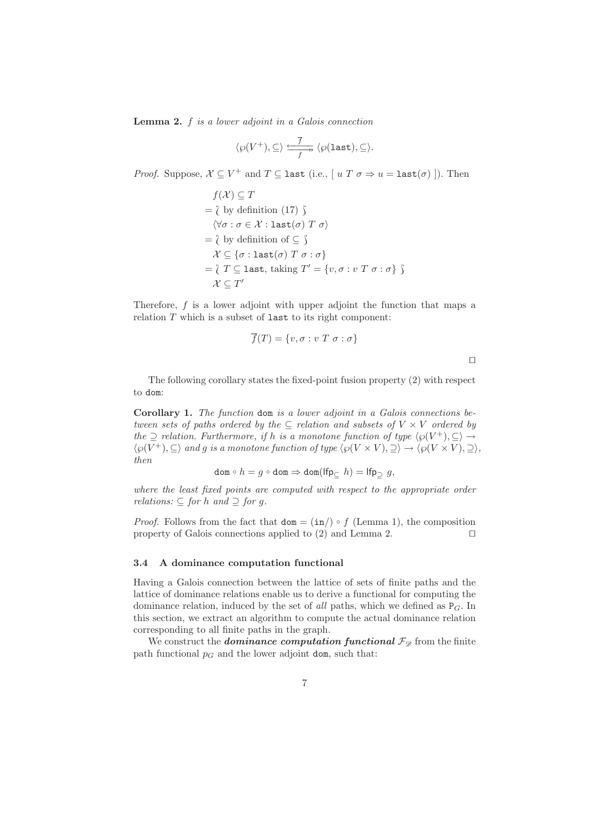**Lemma 2.**  $f$  is a lower adjoint in a Galois connection

$$
\langle \wp(V^+), \subseteq \rangle \xrightarrow[\ f \ \longrightarrow]{} \langle \wp(\mathtt{last}), \subseteq \rangle.
$$

*Proof.* Suppose,  $X \subseteq V^+$  and  $T \subseteq$  last (i.e., [  $u \in T$   $\sigma \Rightarrow u = \text{last}(\sigma)$  ]). Then

$$
f(\mathcal{X}) \subseteq T
$$
  
=  $\{ \text{ by definition (17) } \}$   
 $\langle \forall \sigma : \sigma \in \mathcal{X} : \text{last}(\sigma) \mid T \mid \sigma \rangle$   
=  $\{ \text{ by definition of } \subseteq \}$   
 $\mathcal{X} \subseteq \{ \sigma : \text{last}(\sigma) \mid T \mid \sigma : \sigma \}$   
=  $\{ \mid T \subseteq \text{last, taking } T' = \{ v, \sigma : v \mid T \mid \sigma : \sigma \} \}$   
 $\mathcal{X} \subseteq T'$ 

Therefore,  $f$  is a lower adjoint with upper adjoint the function that maps a relation  $T$  which is a subset of last to its right component:

$$
f(T) = \{v, \sigma : v \mid T \mid \sigma : \sigma\}
$$

⊓⊔

The following corollary states the fixed-point fusion property (2) with respect to dom:

Corollary 1. The function dom is a lower adjoint in a Galois connections between sets of paths ordered by the  $\subseteq$  relation and subsets of  $V \times V$  ordered by the  $\supseteq$  relation. Furthermore, if h is a monotone function of type  $\langle \wp(V^+), \subseteq \rangle \rightarrow$  $\langle \wp(V^+), \subseteq \rangle$  and g is a monotone function of type  $\langle \wp(V \times V), \supseteq \rangle \to \langle \wp(V \times V), \supseteq \rangle$ , then

$$
\mathtt{dom}\circ h=g\circ\mathtt{dom}\Rightarrow\mathtt{dom}(\mathsf{lfp}_{\subseteq}\;h)=\mathsf{lfp}_{\supseteq}\;g,
$$

where the least fixed points are computed with respect to the appropriate order relations:  $\subset$  for h and  $\supset$  for q.

*Proof.* Follows from the fact that  $\text{dom} = (\text{in}) \circ f$  (Lemma 1), the composition property of Galois connections applied to  $(2)$  and Lemma 2. □

### 3.4 A dominance computation functional

Having a Galois connection between the lattice of sets of finite paths and the lattice of dominance relations enable us to derive a functional for computing the dominance relation, induced by the set of all paths, which we defined as  $P_G$ . In this section, we extract an algorithm to compute the actual dominance relation corresponding to all finite paths in the graph.

We construct the *dominance computation functional*  $\mathcal{F}_{\mathscr{D}}$  from the finite path functional  $p<sub>G</sub>$  and the lower adjoint dom, such that: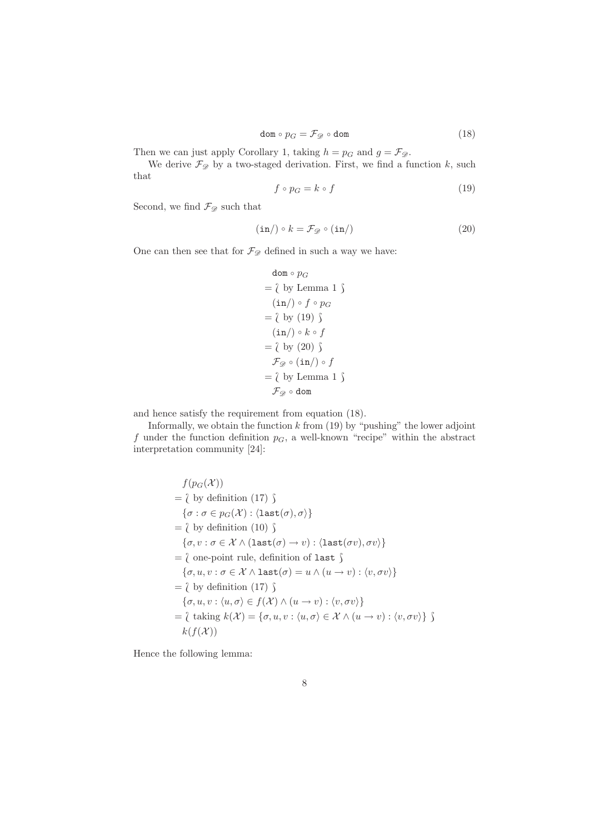$$
\text{dom} \circ p_G = \mathcal{F}_{\mathcal{D}} \circ \text{dom} \tag{18}
$$

Then we can just apply Corollary 1, taking  $h = p_G$  and  $g = \mathcal{F}_{\mathcal{D}}$ .

We derive  $\mathcal{F}_{\mathscr{D}}$  by a two-staged derivation. First, we find a function k, such that

$$
f \circ p_G = k \circ f \tag{19}
$$

Second, we find  $\mathcal{F}_{\mathscr{D}}$  such that

$$
(\text{in}) \circ k = \mathcal{F}_{\mathcal{D}} \circ (\text{in}) \tag{20}
$$

One can then see that for  $\mathcal{F}_{\mathscr{D}}$  defined in such a way we have:

$$
\text{dom} \circ p_G
$$
\n
$$
= \{ \text{ by Lemma 1 } \}
$$
\n
$$
(\text{in}) \circ f \circ p_G
$$
\n
$$
= \{ \text{ by (19) } \}
$$
\n
$$
(\text{in}) \circ k \circ f
$$
\n
$$
= \{ \text{ by (20) } \}
$$
\n
$$
\mathcal{F}_{\mathcal{D}} \circ (\text{in}) \circ f
$$
\n
$$
= \{ \text{ by Lemma 1 } \}
$$
\n
$$
\mathcal{F}_{\mathcal{D}} \circ \text{dom}
$$

and hence satisfy the requirement from equation (18).

Informally, we obtain the function  $k$  from (19) by "pushing" the lower adjoint f under the function definition  $p_G$ , a well-known "recipe" within the abstract interpretation community [24]:

$$
f(p_G(\mathcal{X}))
$$
  
=  $\hat{\ell}$  by definition (17)  $\hat{\zeta}$   
 $\{\sigma : \sigma \in p_G(\mathcal{X}) : \langle \text{last}(\sigma), \sigma \rangle\}$   
=  $\hat{\ell}$  by definition (10)  $\hat{\zeta}$   
 $\{\sigma, v : \sigma \in \mathcal{X} \land (\text{last}(\sigma) \to v) : \langle \text{last}(\sigma v), \sigma v \rangle\}$   
=  $\hat{\ell}$  one-point rule, definition of last  $\hat{\zeta}$   
 $\{\sigma, u, v : \sigma \in \mathcal{X} \land \text{last}(\sigma) = u \land (u \to v) : \langle v, \sigma v \rangle\}$   
=  $\hat{\ell}$  by definition (17)  $\hat{\zeta}$   
 $\{\sigma, u, v : \langle u, \sigma \rangle \in f(\mathcal{X}) \land (u \to v) : \langle v, \sigma v \rangle\}$   
=  $\hat{\ell}$  taking  $k(\mathcal{X}) = \{\sigma, u, v : \langle u, \sigma \rangle \in \mathcal{X} \land (u \to v) : \langle v, \sigma v \rangle\}$   
 $k(f(\mathcal{X}))$ 

Hence the following lemma: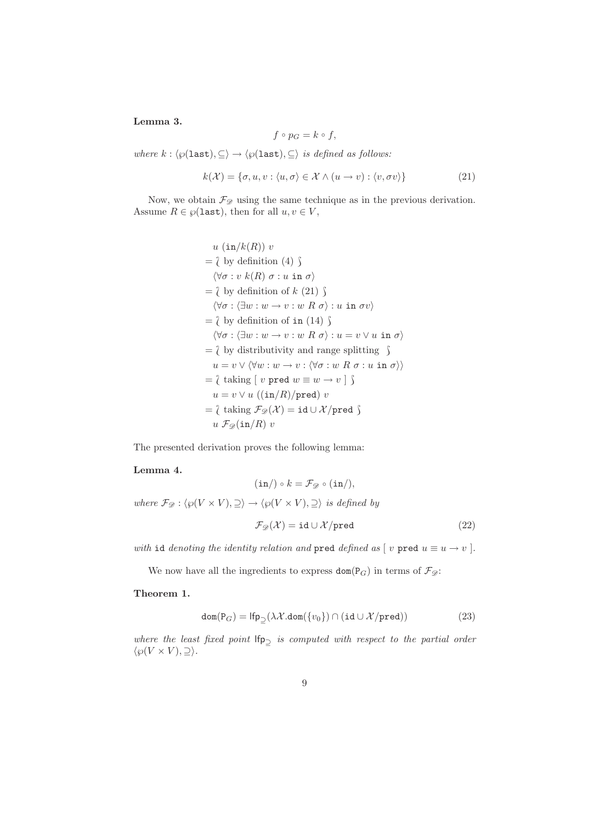# Lemma 3.

$$
f \circ p_G = k \circ f,
$$

where  $k : \langle \wp(\mathtt{last}), \subseteq \rangle \to \langle \wp(\mathtt{last}), \subseteq \rangle$  is defined as follows:

$$
k(\mathcal{X}) = \{\sigma, u, v : \langle u, \sigma \rangle \in \mathcal{X} \land (u \to v) : \langle v, \sigma v \rangle\}
$$
(21)

Now, we obtain  $\mathcal{F}_{\mathscr{D}}$  using the same technique as in the previous derivation. Assume  $R \in \wp(\texttt{last})$ , then for all  $u, v \in V$ ,

$$
u (\infty) k(R) v
$$
  
=  $\lambda$  by definition (4)  $\lambda$   
 $\langle \forall \sigma : v k(R) \sigma : u \infty \rangle$   
=  $\lambda$  by definition of k (21)  $\lambda$   
 $\langle \forall \sigma : \langle \exists w : w \rightarrow v : w R \sigma \rangle : u \infty \sigma \rangle$   
=  $\lambda$  by definition of in (14)  $\lambda$   
 $\langle \forall \sigma : \langle \exists w : w \rightarrow v : w R \sigma \rangle : u = v \lor u \infty \sigma \rangle$   
=  $\lambda$  by distributivity and range splitting  $\lambda$   
=  $\lambda$  by  $\langle \forall w : w \rightarrow v : \langle \forall \sigma : w R \sigma : u \infty \rangle$   
=  $\lambda$  taking  $\langle v \text{ pred } w \equiv w \rightarrow v \rangle$   $\lambda$   
=  $\lambda$  taking  $\mathcal{F}_{\mathcal{D}}(\mathcal{X}) = \text{id} \cup \lambda/\text{pred } \lambda$   
=  $\lambda$  taking  $\mathcal{F}_{\mathcal{D}}(\mathcal{X}) = \text{id} \cup \lambda/\text{pred } \lambda$ 

The presented derivation proves the following lemma:

# Lemma 4.

$$
(\text{in}/) \circ k = \mathcal{F}_{\mathcal{D}} \circ (\text{in}/),
$$
  
where  $\mathcal{F}_{\mathcal{D}} : \langle \wp(V \times V), \supseteq \rangle \to \langle \wp(V \times V), \supseteq \rangle$  is defined by

$$
\mathcal{F}_{\mathcal{D}}(\mathcal{X}) = \text{id} \cup \mathcal{X}/\text{pred}
$$
 (22)

with id denoting the identity relation and pred defined as  $[v \text{ pred } u \equiv u \rightarrow v].$ 

We now have all the ingredients to express  $\text{dom}(P_G)$  in terms of  $\mathcal{F}_{\mathscr{D}}$ :

# Theorem 1.

$$
dom(P_G) = \mathsf{lfp}_{\supseteq}(\lambda \mathcal{X}.dom(\{v_0\}) \cap (id \cup \mathcal{X}/pred))
$$
\n(23)

where the least fixed point  $lfp$  is computed with respect to the partial order  $\langle \wp(V \times V), \supseteq \rangle$ .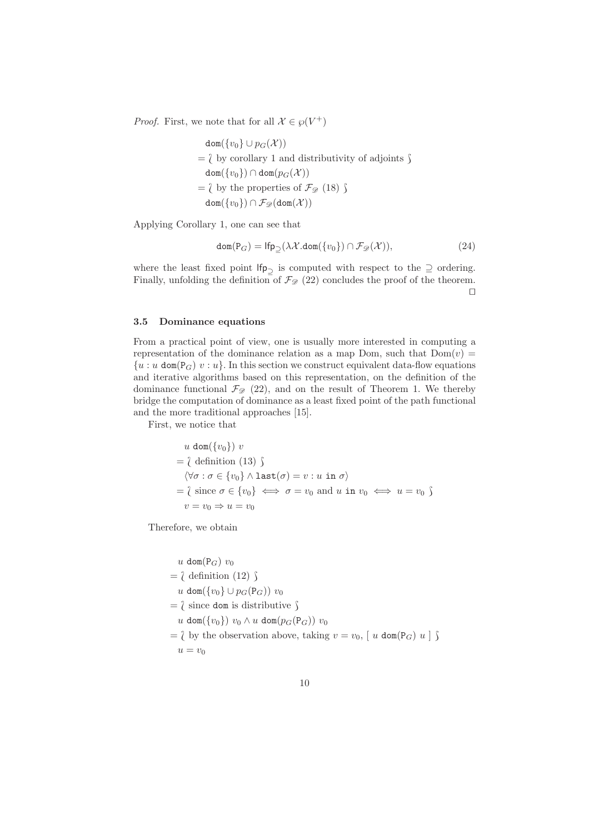*Proof.* First, we note that for all  $\mathcal{X} \in \wp(V^+)$ 

$$
dom({v_0} \cup p_G(\mathcal{X}))
$$
  
=  $\{\text{ by corollary 1 and distributivity of adjoints }\}$   

$$
dom({v_0}) \cap dom(p_G(\mathcal{X}))
$$
  
=  $\{\text{ by the properties of }\mathcal{F}_{\mathcal{D}}(18)\}$   

$$
dom({v_0}) \cap \mathcal{F}_{\mathcal{D}}(dom(\mathcal{X}))
$$

Applying Corollary 1, one can see that

$$
\text{dom}(\mathbf{P}_G) = \text{If } \mathbf{p}_{\supseteq}(\lambda \mathcal{X}.\text{dom}(\{v_0\}) \cap \mathcal{F}_{\mathscr{D}}(\mathcal{X})), \tag{24}
$$

where the least fixed point lfp<sub> $\supset$ </sub> is computed with respect to the  $\supseteq$  ordering. Finally, unfolding the definition of  $\mathcal{F}_{\mathscr{D}}$  (22) concludes the proof of the theorem. ⊓⊔

### 3.5 Dominance equations

From a practical point of view, one is usually more interested in computing a representation of the dominance relation as a map Dom, such that  $Dom(v)$  =  ${u : u \text{ dom}(P_G) v : u}$ . In this section we construct equivalent data-flow equations and iterative algorithms based on this representation, on the definition of the dominance functional  $\mathcal{F}_{\mathscr{D}}$  (22), and on the result of Theorem 1. We thereby bridge the computation of dominance as a least fixed point of the path functional and the more traditional approaches [15].

First, we notice that

$$
u \text{ dom}(\{v_0\}) v
$$
  
=  $\lambda$  definition (13)  $\lambda$   
 $\langle \forall \sigma : \sigma \in \{v_0\} \land \text{last}(\sigma) = v : u \text{ in } \sigma \rangle$   
=  $\lambda$  since  $\sigma \in \{v_0\} \iff \sigma = v_0 \text{ and } u \text{ in } v_0 \iff u = v_0 \ \lambda$   
 $v = v_0 \Rightarrow u = v_0$ 

Therefore, we obtain

u dom $(P_G)$   $v_0$  $=$   $\ell$  definition (12)  $\ell$ u dom $({v_0} \cup p_G(P_G))$  v<sub>0</sub>  $=$  { since dom is distributive  $\int$ u dom $(\{v_0\})$   $v_0 \wedge u$  dom $(p_G(P_G))$   $v_0$ =  $\ell$  by the observation above, taking  $v = v_0$ ,  $[u \text{ dom}(P_G) u]$  $u = v_0$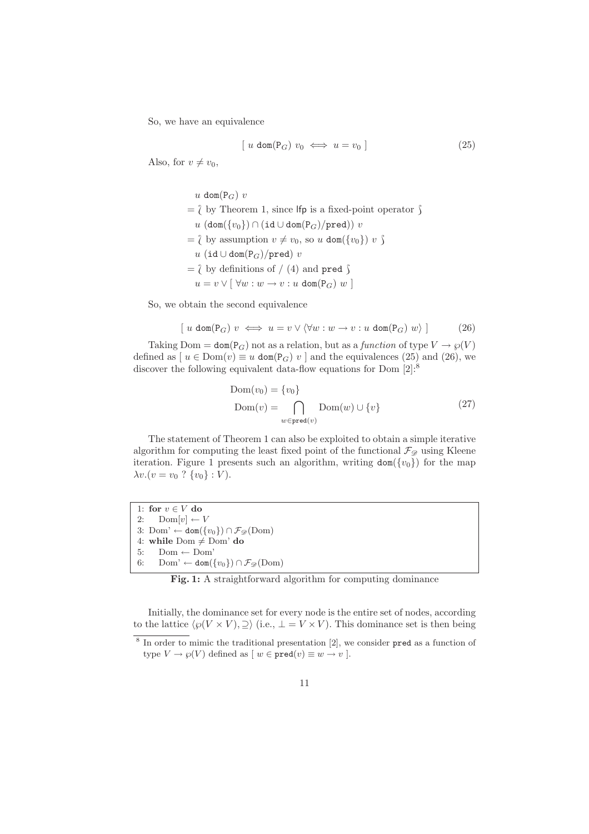So, we have an equivalence

$$
[ u \text{ dom}(P_G) v_0 \iff u = v_0 ] \tag{25}
$$

Also, for  $v \neq v_0$ ,

$$
u \text{ dom}(P_G) v
$$
  
=  $\lambda$  by Theorem 1, since  $\text{lfp}$  is a fixed-point operator  $\lambda$   
 $u (\text{dom}(\{v_0\}) \cap (\text{id} \cup \text{dom}(P_G)/\text{pred})) v$   
=  $\lambda$  by assumption  $v \neq v_0$ , so  $u \text{ dom}(\{v_0\}) v \lambda$   
 $u (\text{id} \cup \text{dom}(P_G)/\text{pred}) v$   
=  $\lambda$  by definitions of / (4) and  $\text{pred } \lambda$   
 $u = v \vee [\forall w : w \rightarrow v : u \text{ dom}(P_G) w]$ 

So, we obtain the second equivalence

$$
[ u \text{ dom}(P_G) v \iff u = v \lor (\forall w : w \to v : u \text{ dom}(P_G) w ) ] \tag{26}
$$

Taking Dom =  $\text{dom}(\mathbb{P}_G)$  not as a relation, but as a function of type  $V \to \wp(V)$ defined as  $[u \in Dom(v) \equiv u \text{ dom}(P_G) v]$  and the equivalences (25) and (26), we discover the following equivalent data-flow equations for Dom [2]:<sup>8</sup>

$$
Dom(v_0) = \{v_0\}
$$
  
 
$$
Dom(v) = \bigcap_{w \in \text{pred}(v)} Dom(w) \cup \{v\}
$$
 (27)

The statement of Theorem 1 can also be exploited to obtain a simple iterative algorithm for computing the least fixed point of the functional  $\mathcal{F}_{\mathcal{D}}$  using Kleene iteration. Figure 1 presents such an algorithm, writing  $\text{dom}(\{v_0\})$  for the map  $\lambda v.(v = v_0 ? \{v_0\} : V).$ 

1: for  $v \in V$  do 2:  $\text{Dom}[v] \leftarrow V$ 3: Dom' ← dom $({v_0}) \cap \mathcal{F}_{\mathscr{D}}(\text{Dom})$ 4: while  $Dom \neq Dom'$  do 5:  $Dom \leftarrow Dom'$ 6: Dom' ← dom $({v_0}) \cap \mathcal{F}_{\mathscr{D}}(\text{Dom})$ 

Fig. 1: A straightforward algorithm for computing dominance

Initially, the dominance set for every node is the entire set of nodes, according to the lattice  $\langle \wp(V \times V), \supseteq \rangle$  (i.e.,  $\perp = V \times V$ ). This dominance set is then being

<sup>&</sup>lt;sup>8</sup> In order to mimic the traditional presentation [2], we consider pred as a function of type  $V \to \wp(V)$  defined as  $[w \in \text{pred}(v) \equiv w \to v]$ .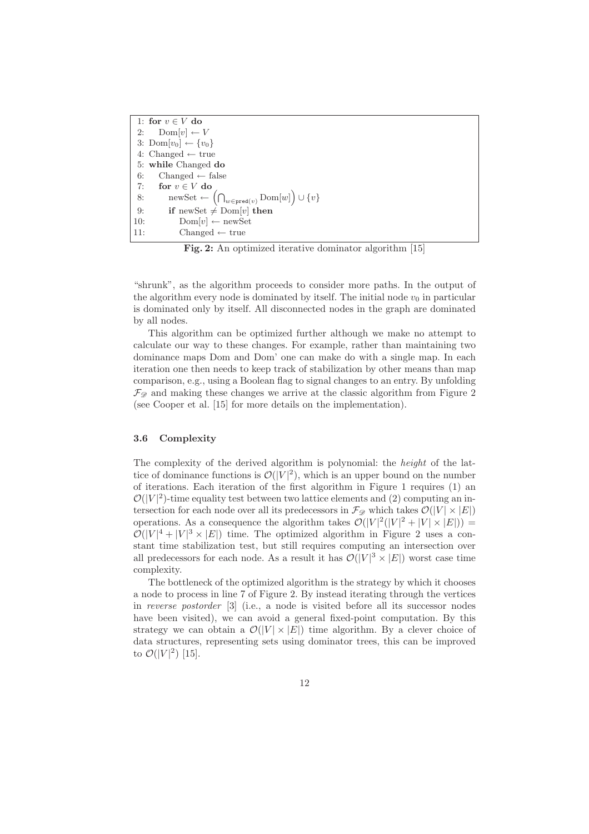| 1: for $v \in V$ do                                                   |
|-----------------------------------------------------------------------|
| 2: $\text{Dom}[v] \leftarrow V$                                       |
| 3: Dom $[v_0] \leftarrow \{v_0\}$                                     |
| 4: Changed $\leftarrow$ true                                          |
| 5: while Changed do                                                   |
| 6: Changed $\leftarrow$ false                                         |
| 7: for $v \in V$ do                                                   |
| $newSet \leftarrow (\bigcap_{w \in pred(v)} Dom[w]) \cup \{v\}$<br>8: |
| if new Set $\neq$ Dom[v] then<br>9:                                   |
| $Dom[v] \leftarrow newSet$<br>10:                                     |
| 11:<br>$Changed \leftarrow true$                                      |

Fig. 2: An optimized iterative dominator algorithm [15]

"shrunk", as the algorithm proceeds to consider more paths. In the output of the algorithm every node is dominated by itself. The initial node  $v_0$  in particular is dominated only by itself. All disconnected nodes in the graph are dominated by all nodes.

This algorithm can be optimized further although we make no attempt to calculate our way to these changes. For example, rather than maintaining two dominance maps Dom and Dom' one can make do with a single map. In each iteration one then needs to keep track of stabilization by other means than map comparison, e.g., using a Boolean flag to signal changes to an entry. By unfolding  $\mathcal{F}_{\mathcal{D}}$  and making these changes we arrive at the classic algorithm from Figure 2 (see Cooper et al. [15] for more details on the implementation).

### 3.6 Complexity

The complexity of the derived algorithm is polynomial: the height of the lattice of dominance functions is  $\mathcal{O}(|V|^2)$ , which is an upper bound on the number of iterations. Each iteration of the first algorithm in Figure 1 requires (1) an  $\mathcal{O}(|V|^2)$ -time equality test between two lattice elements and (2) computing an intersection for each node over all its predecessors in  $\mathcal{F}_{\mathcal{D}}$  which takes  $\mathcal{O}(|V| \times |E|)$ operations. As a consequence the algorithm takes  $\mathcal{O}(|V|^2(|V|^2 + |V| \times |E|)) =$  $\mathcal{O}(|V|^4 + |V|^3 \times |E|)$  time. The optimized algorithm in Figure 2 uses a constant time stabilization test, but still requires computing an intersection over all predecessors for each node. As a result it has  $\mathcal{O}(|V|^3 \times |E|)$  worst case time complexity.

The bottleneck of the optimized algorithm is the strategy by which it chooses a node to process in line 7 of Figure 2. By instead iterating through the vertices in reverse postorder [3] (i.e., a node is visited before all its successor nodes have been visited), we can avoid a general fixed-point computation. By this strategy we can obtain a  $\mathcal{O}(|V| \times |E|)$  time algorithm. By a clever choice of data structures, representing sets using dominator trees, this can be improved to  $\mathcal{O}(|V|^2)$  [15].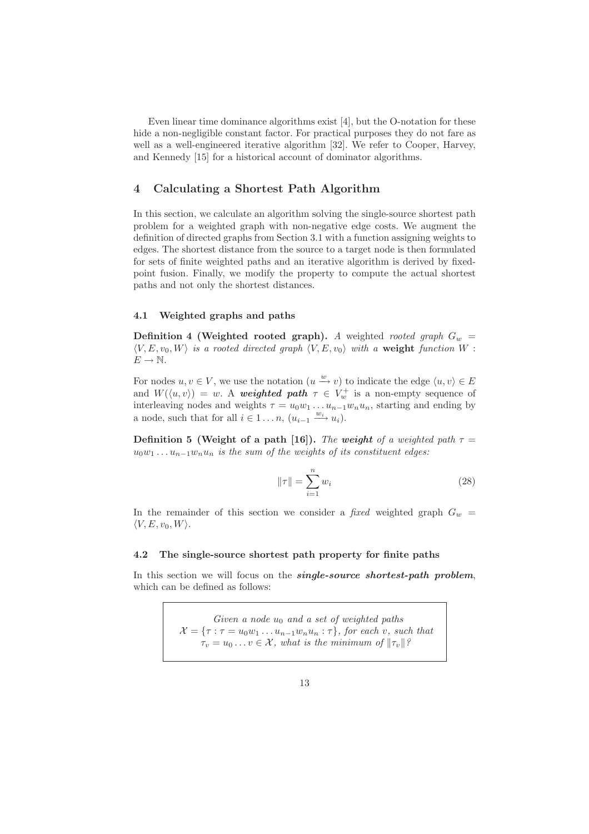Even linear time dominance algorithms exist [4], but the O-notation for these hide a non-negligible constant factor. For practical purposes they do not fare as well as a well-engineered iterative algorithm [32]. We refer to Cooper, Harvey, and Kennedy [15] for a historical account of dominator algorithms.

# 4 Calculating a Shortest Path Algorithm

In this section, we calculate an algorithm solving the single-source shortest path problem for a weighted graph with non-negative edge costs. We augment the definition of directed graphs from Section 3.1 with a function assigning weights to edges. The shortest distance from the source to a target node is then formulated for sets of finite weighted paths and an iterative algorithm is derived by fixedpoint fusion. Finally, we modify the property to compute the actual shortest paths and not only the shortest distances.

### 4.1 Weighted graphs and paths

**Definition 4 (Weighted rooted graph).** A weighted rooted graph  $G_w$  =  $\langle V, E, v_0, W \rangle$  is a rooted directed graph  $\langle V, E, v_0 \rangle$  with a weight function W :  $E \to \mathbb{N}$ .

For nodes  $u, v \in V$ , we use the notation  $(u \xrightarrow{w} v)$  to indicate the edge  $\langle u, v \rangle \in E$ and  $W(\langle u, v \rangle) = w$ . A **weighted path**  $\tau \in V_w^+$  is a non-empty sequence of interleaving nodes and weights  $\tau = u_0w_1 \dots u_{n-1}w_nu_n$ , starting and ending by a node, such that for all  $i \in 1 \ldots n$ ,  $(u_{i-1} \xrightarrow{w_i} u_i)$ .

Definition 5 (Weight of a path [16]). The weight of a weighted path  $\tau =$  $u_0w_1 \ldots u_{n-1}w_nu_n$  is the sum of the weights of its constituent edges:

$$
\|\tau\| = \sum_{i=1}^{n} w_i \tag{28}
$$

In the remainder of this section we consider a fixed weighted graph  $G_w$  =  $\langle V,E,v_0,W\rangle$ .

### 4.2 The single-source shortest path property for finite paths

In this section we will focus on the *single-source shortest-path problem*, which can be defined as follows:

> Given a node  $u_0$  and a set of weighted paths  $\mathcal{X} = {\tau : \tau = u_0w_1 \ldots u_{n-1}w_nu_n : \tau}, \text{ for each } v, \text{ such that}$  $\tau_v = u_0 \ldots v \in \mathcal{X}$ , what is the minimum of  $||\tau_v||$ ?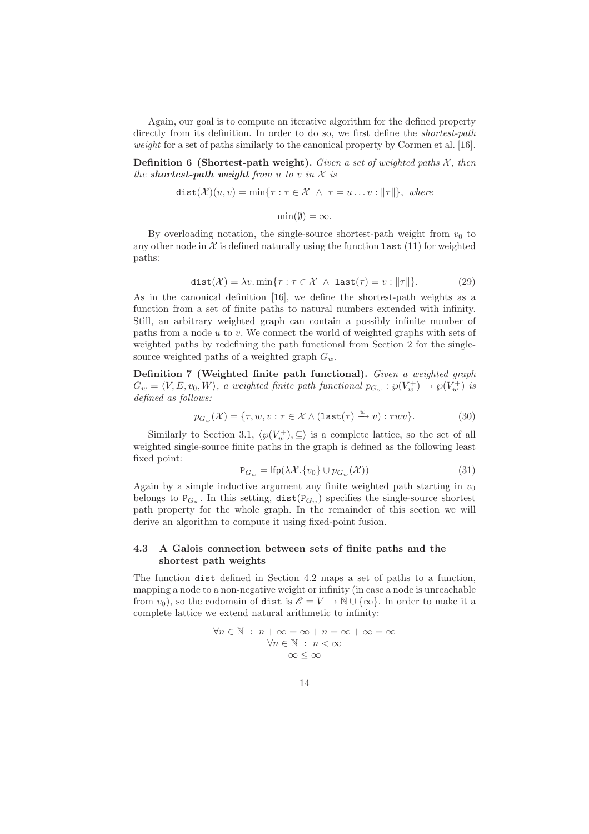Again, our goal is to compute an iterative algorithm for the defined property directly from its definition. In order to do so, we first define the *shortest-path* weight for a set of paths similarly to the canonical property by Cormen et al. [16].

**Definition 6 (Shortest-path weight).** Given a set of weighted paths  $\mathcal{X}$ , then the **shortest-path** weight from u to v in  $X$  is

$$
\text{dist}(\mathcal{X})(u, v) = \min\{\tau : \tau \in \mathcal{X} \land \tau = u \dots v : ||\tau||\}, \text{ where}
$$

 $\min(\emptyset) = \infty$ .

By overloading notation, the single-source shortest-path weight from  $v_0$  to any other node in  $\mathcal X$  is defined naturally using the function last (11) for weighted paths:

$$
\text{dist}(\mathcal{X}) = \lambda v \cdot \min\{\tau : \tau \in \mathcal{X} \ \wedge \ \text{last}(\tau) = v : \|\tau\|\}. \tag{29}
$$

As in the canonical definition [16], we define the shortest-path weights as a function from a set of finite paths to natural numbers extended with infinity. Still, an arbitrary weighted graph can contain a possibly infinite number of paths from a node u to v. We connect the world of weighted graphs with sets of weighted paths by redefining the path functional from Section 2 for the singlesource weighted paths of a weighted graph  $G_w$ .

Definition 7 (Weighted finite path functional). Given a weighted graph  $G_w = \langle V, E, v_0, W \rangle$ , a weighted finite path functional  $p_{G_w} : \wp(V_w^+) \to \wp(V_w^+)$  is defined as follows:

$$
p_{G_w}(\mathcal{X}) = \{ \tau, w, v : \tau \in \mathcal{X} \land (\text{last}(\tau) \xrightarrow{w} v) : \tau w v \}. \tag{30}
$$

Similarly to Section 3.1,  $\langle \wp(V_w^+), \subseteq \rangle$  is a complete lattice, so the set of all weighted single-source finite paths in the graph is defined as the following least fixed point:

$$
\mathbf{P}_{G_w} = \mathsf{lfp}(\lambda \mathcal{X}. \{v_0\} \cup p_{G_w}(\mathcal{X})) \tag{31}
$$

Again by a simple inductive argument any finite weighted path starting in  $v_0$ belongs to  $P_{G_w}$ . In this setting,  $dist(P_{G_w})$  specifies the single-source shortest path property for the whole graph. In the remainder of this section we will derive an algorithm to compute it using fixed-point fusion.

# 4.3 A Galois connection between sets of finite paths and the shortest path weights

The function dist defined in Section 4.2 maps a set of paths to a function, mapping a node to a non-negative weight or infinity (in case a node is unreachable from  $v_0$ ), so the codomain of dist is  $\mathscr{E} = V \to \mathbb{N} \cup \{\infty\}$ . In order to make it a complete lattice we extend natural arithmetic to infinity:

$$
\forall n \in \mathbb{N} : n + \infty = \infty + n = \infty + \infty = \infty
$$
  

$$
\forall n \in \mathbb{N} : n < \infty
$$
  

$$
\infty \leq \infty
$$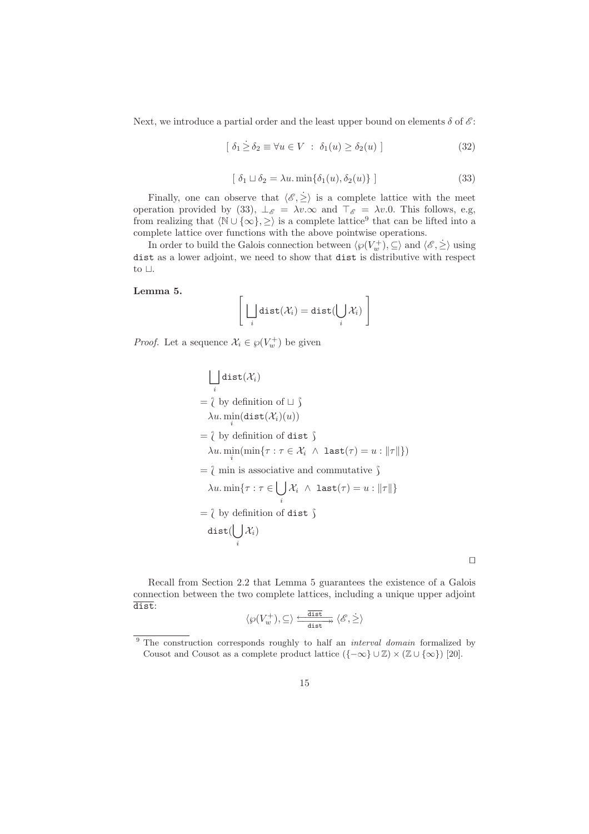Next, we introduce a partial order and the least upper bound on elements  $\delta$  of  $\mathscr{E}$ :

$$
[\delta_1 \ge \delta_2 \equiv \forall u \in V : \delta_1(u) \ge \delta_2(u)] \tag{32}
$$

$$
[\delta_1 \sqcup \delta_2 = \lambda u \cdot \min\{\delta_1(u), \delta_2(u)\}]
$$
\n(33)

Finally, one can observe that  $\langle \mathcal{E}, \dot{\geq} \rangle$  is a complete lattice with the meet operation provided by (33),  $\perp_{\mathscr{E}} = \lambda v.\infty$  and  $\top_{\mathscr{E}} = \lambda v.0$ . This follows, e.g, from realizing that  $\langle \mathbb{N} \cup \{\infty\}, \ge \rangle$  is a complete lattice<sup>9</sup> that can be lifted into a complete lattice over functions with the above pointwise operations.

In order to build the Galois connection between  $\langle \wp(V_w^+), \subseteq \rangle$  and  $\langle \mathscr{E}, \ge \rangle$  using dist as a lower adjoint, we need to show that dist is distributive with respect to ⊔.

### Lemma 5.

$$
\left[\bigsqcup_i \texttt{dist}(\mathcal{X}_i) = \texttt{dist}(\bigcup_i \mathcal{X}_i)\ \right]
$$

*Proof.* Let a sequence  $\mathcal{X}_i \in \wp(V_w^+)$  be given

G i dist(Xi) = H by definition of ⊔ I λu. min i (dist(Xi)(u)) = H by definition of dist I λu. min i (min{τ : τ ∈ X<sup>i</sup> ∧ last(τ ) = u : kτk}) = H min is associative and commutative I λu. min{τ : τ ∈ [ i X<sup>i</sup> ∧ last(τ ) = u : kτk} = H by definition of dist I dist( [ i Xi)

⊓⊔

Recall from Section 2.2 that Lemma 5 guarantees the existence of a Galois connection between the two complete lattices, including a unique upper adjoint dist:

$$
\langle \wp(V_w^+), \subseteq \rangle \xrightarrow[\text{dist}]{\text{dist}} \langle \mathscr{E}, \geq \rangle
$$

<sup>9</sup> The construction corresponds roughly to half an *interval domain* formalized by Cousot and Cousot as a complete product lattice  $({-\infty} \cup \mathbb{Z}) \times (\mathbb{Z} \cup {\infty})$  [20].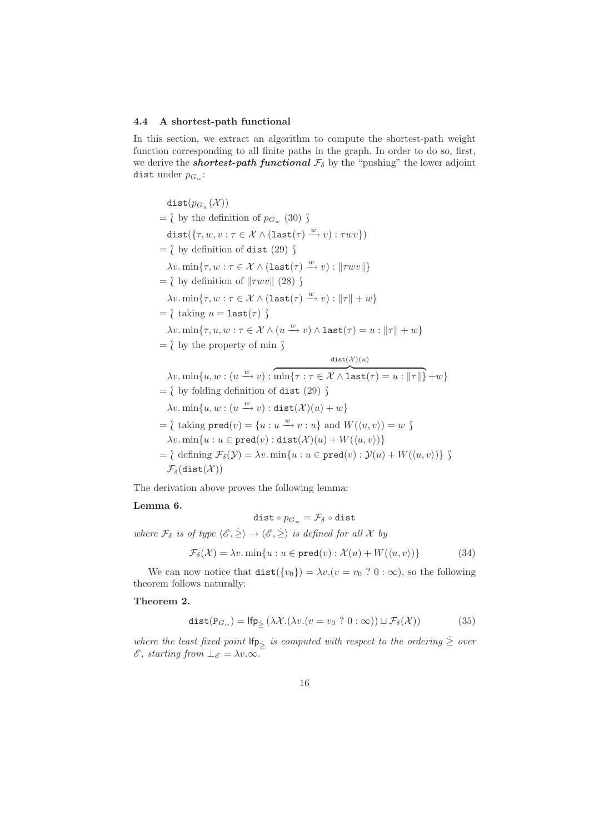#### 4.4 A shortest-path functional

In this section, we extract an algorithm to compute the shortest-path weight function corresponding to all finite paths in the graph. In order to do so, first, we derive the **shortest-path functional**  $\mathcal{F}_{\delta}$  by the "pushing" the lower adjoint dist under  $p_{G_w}$ :

 $dist(p_{G_w}(\mathcal{X}))$  $=$  { by the definition of  $p_{G_w}$  (30) } dist $({\{\tau, w, v : \tau \in \mathcal{X} \wedge (\texttt{last}(\tau) \xrightarrow{w} v) : \tau w v\}})$  $=$  { by definition of dist (29)  $\int$  $\lambda v.\min\{\tau,w:\tau\in\mathcal{X}\wedge(\mathtt{last}(\tau)\xrightarrow{w}v): \|\tau w v\|\}$  $=$  l by definition of  $\Vert \tau wv \Vert$  (28)  $\int$  $\lambda v.\min\{\tau,w:\tau\in\mathcal{X}\wedge(\mathtt{last}(\tau)\xrightarrow{w}v):\Vert\tau\Vert+w\}$ =  $\hat{l}$  taking  $u = \texttt{last}(\tau)$   $\hat{\mathcal{L}}$  $\lambda v.\min\{\tau, u, w : \tau \in \mathcal{X} \land (u \xrightarrow{w} v) \land \texttt{last}(\tau) = u : ||\tau|| + w\}$  $=$  { by the property of min  $\int$  $\lambda v \cdot \min\{u, w : (u \stackrel{w}{\longrightarrow} v) :$  $\textsf{dist}(\mathcal{X})(u)$  ${\min \{\tau : \tau \in \mathcal{X} \wedge \texttt{last}(\tau) = u : ||\tau||\} + w\}}$  $=$  { by folding definition of dist (29)  $\int$  $\lambda v \cdot \min\{u, w : (u \xrightarrow{w} v) : \texttt{dist}(\mathcal{X})(u) + w\}$  $=\ell$  taking  $\text{pred}(v) = \{u : u \stackrel{w}{\longrightarrow} v : u\}$  and  $W(\langle u, v \rangle) = w$   $\ell$  $\lambda v \cdot \min\{u : u \in \text{pred}(v) : \text{dist}(\mathcal{X})(u) + W(\langle u, v \rangle)\}\$  $= \{$  defining  $\mathcal{F}_{\delta}(\mathcal{Y}) = \lambda v \cdot \min\{u : u \in \text{pred}(v) : \mathcal{Y}(u) + W(\langle u, v \rangle)\}$  $\mathcal{F}_{\delta}(\texttt{dist}(\mathcal{X}))$ 

The derivation above proves the following lemma:

# Lemma 6.

$$
\mathtt{dist} \circ p_{G_w} = \mathcal{F}_\delta \circ \mathtt{dist}
$$

where  $\mathcal{F}_{\delta}$  is of type  $\langle \mathcal{E}, \geq \rangle \rightarrow \langle \mathcal{E}, \geq \rangle$  is defined for all X by

$$
\mathcal{F}_{\delta}(\mathcal{X}) = \lambda v \cdot \min\{u : u \in \text{pred}(v) : \mathcal{X}(u) + W(\langle u, v \rangle)\}\tag{34}
$$

We can now notice that  $dist({v_0}) = \lambda v.(v = v_0 ? 0 : \infty)$ , so the following theorem follows naturally:

# Theorem 2.

$$
\text{dist}(\mathbf{P}_{G_w}) = \text{Ifp}_{\geq}(\lambda \mathcal{X}.(\lambda v.(v = v_0 ? 0 : \infty)) \sqcup \mathcal{F}_{\delta}(\mathcal{X}))
$$
(35)

where the least fixed point lfp<sub>></sub> is computed with respect to the ordering  $\geq$  over  $\mathscr E$ , starting from  $\perp_{\mathscr E} = \lambda v.\infty$ .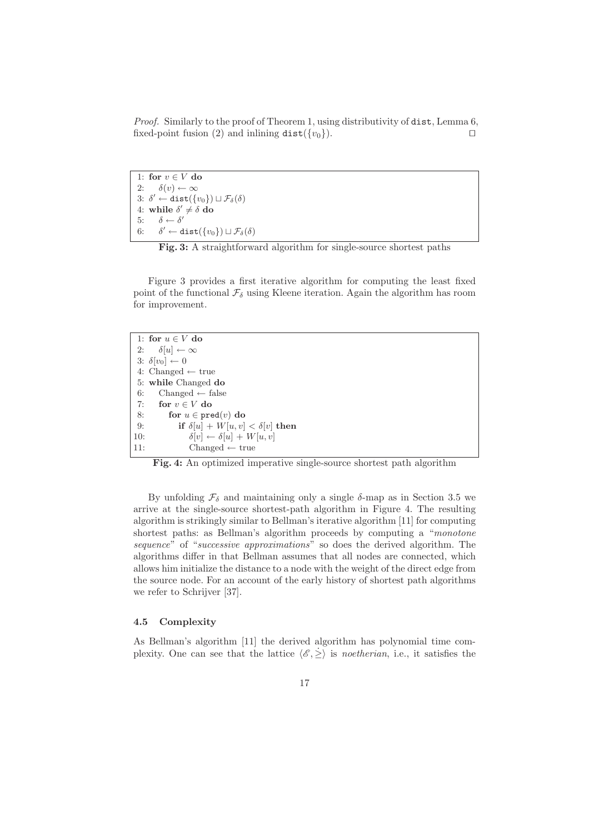Proof. Similarly to the proof of Theorem 1, using distributivity of dist, Lemma 6, fixed-point fusion (2) and inlining dist( $\{v_0\}$ ). □

1: for  $v \in V$  do 2:  $\delta(v) \leftarrow \infty$ 3:  $\delta' \leftarrow \text{dist}(\{v_0\}) \sqcup \mathcal{F}_{\delta}(\delta)$ 4: while  $\delta' \neq \delta$  do 5:  $\delta \leftarrow \delta'$ 6:  $\delta' \leftarrow \text{dist}(\{v_0\}) \sqcup \mathcal{F}_{\delta}(\delta)$ 

Fig. 3: A straightforward algorithm for single-source shortest paths

Figure 3 provides a first iterative algorithm for computing the least fixed point of the functional  $\mathcal{F}_{\delta}$  using Kleene iteration. Again the algorithm has room for improvement.

1: for  $u \in V$  do 2:  $\delta[u] \leftarrow \infty$ 3:  $\delta[v_0] \leftarrow 0$ 4: Changed  $\leftarrow$  true 5: while Changed do 6: Changed  $\leftarrow$  false 7: for  $v \in V$  do 8: for  $u \in \text{pred}(v)$  do 9: if  $\delta[u] + W[u, v] < \delta[v]$  then 10:  $\delta[v] \leftarrow \delta[u] + W[u, v]$ 11: Changed  $\leftarrow$  true

Fig. 4: An optimized imperative single-source shortest path algorithm

By unfolding  $\mathcal{F}_{\delta}$  and maintaining only a single  $\delta$ -map as in Section 3.5 we arrive at the single-source shortest-path algorithm in Figure 4. The resulting algorithm is strikingly similar to Bellman's iterative algorithm [11] for computing shortest paths: as Bellman's algorithm proceeds by computing a "monotone sequence" of "successive approximations" so does the derived algorithm. The algorithms differ in that Bellman assumes that all nodes are connected, which allows him initialize the distance to a node with the weight of the direct edge from the source node. For an account of the early history of shortest path algorithms we refer to Schrijver [37].

# 4.5 Complexity

As Bellman's algorithm [11] the derived algorithm has polynomial time complexity. One can see that the lattice  $\langle \mathcal{E}, \geq \rangle$  is noetherian, i.e., it satisfies the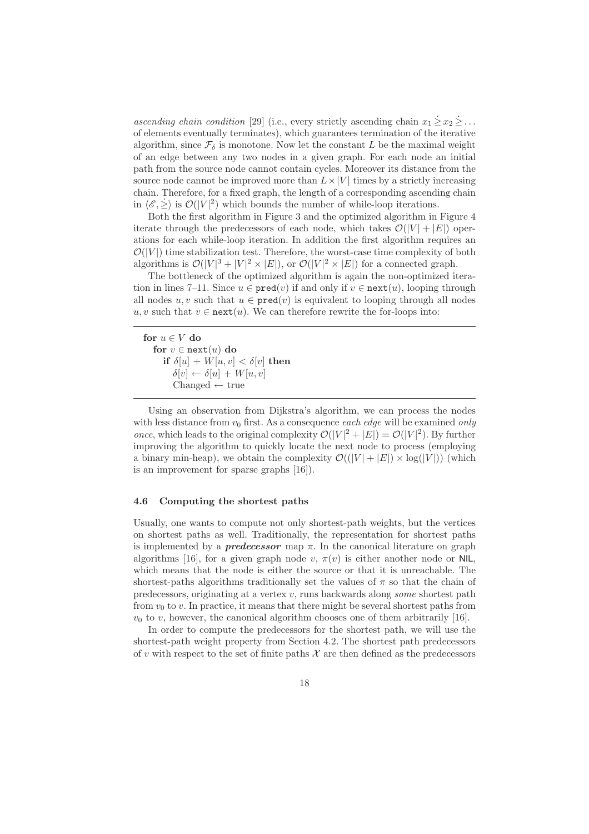ascending chain condition [29] (i.e., every strictly ascending chain  $x_1 \ge x_2 \ge \ldots$ of elements eventually terminates), which guarantees termination of the iterative algorithm, since  $\mathcal{F}_{\delta}$  is monotone. Now let the constant L be the maximal weight of an edge between any two nodes in a given graph. For each node an initial path from the source node cannot contain cycles. Moreover its distance from the source node cannot be improved more than  $L \times |V|$  times by a strictly increasing chain. Therefore, for a fixed graph, the length of a corresponding ascending chain in  $\langle \mathcal{E}, \geq \rangle$  is  $\mathcal{O}(|V|^2)$  which bounds the number of while-loop iterations.

Both the first algorithm in Figure 3 and the optimized algorithm in Figure 4 iterate through the predecessors of each node, which takes  $\mathcal{O}(|V| + |E|)$  operations for each while-loop iteration. In addition the first algorithm requires an  $\mathcal{O}(|V|)$  time stabilization test. Therefore, the worst-case time complexity of both algorithms is  $\mathcal{O}(|V|^3 + |V|^2 \times |E|)$ , or  $\mathcal{O}(|V|^2 \times |E|)$  for a connected graph.

The bottleneck of the optimized algorithm is again the non-optimized iteration in lines 7–11. Since  $u \in \text{pred}(v)$  if and only if  $v \in \text{next}(u)$ , looping through all nodes u, v such that  $u \in \text{pred}(v)$  is equivalent to looping through all nodes u, v such that  $v \in \texttt{next}(u)$ . We can therefore rewrite the for-loops into:

```
for u \in V do
   for v \in \text{next}(u) do
      if \delta[u] + W[u, v] < \delta[v] then
          \delta[v] \leftarrow \delta[u] + W[u, v]Changed \leftarrow true
```
Using an observation from Dijkstra's algorithm, we can process the nodes with less distance from  $v_0$  first. As a consequence *each edge* will be examined *only* once, which leads to the original complexity  $\mathcal{O}(|V|^2 + |E|) = \mathcal{O}(|V|^2)$ . By further improving the algorithm to quickly locate the next node to process (employing a binary min-heap), we obtain the complexity  $\mathcal{O}(|V| + |E|) \times \log(|V|)$  (which is an improvement for sparse graphs [16]).

### 4.6 Computing the shortest paths

Usually, one wants to compute not only shortest-path weights, but the vertices on shortest paths as well. Traditionally, the representation for shortest paths is implemented by a **predecessor** map  $\pi$ . In the canonical literature on graph algorithms [16], for a given graph node v,  $\pi(v)$  is either another node or NIL, which means that the node is either the source or that it is unreachable. The shortest-paths algorithms traditionally set the values of  $\pi$  so that the chain of predecessors, originating at a vertex  $v$ , runs backwards along *some* shortest path from  $v_0$  to v. In practice, it means that there might be several shortest paths from  $v_0$  to v, however, the canonical algorithm chooses one of them arbitrarily [16].

In order to compute the predecessors for the shortest path, we will use the shortest-path weight property from Section 4.2. The shortest path predecessors of v with respect to the set of finite paths  $\mathcal X$  are then defined as the predecessors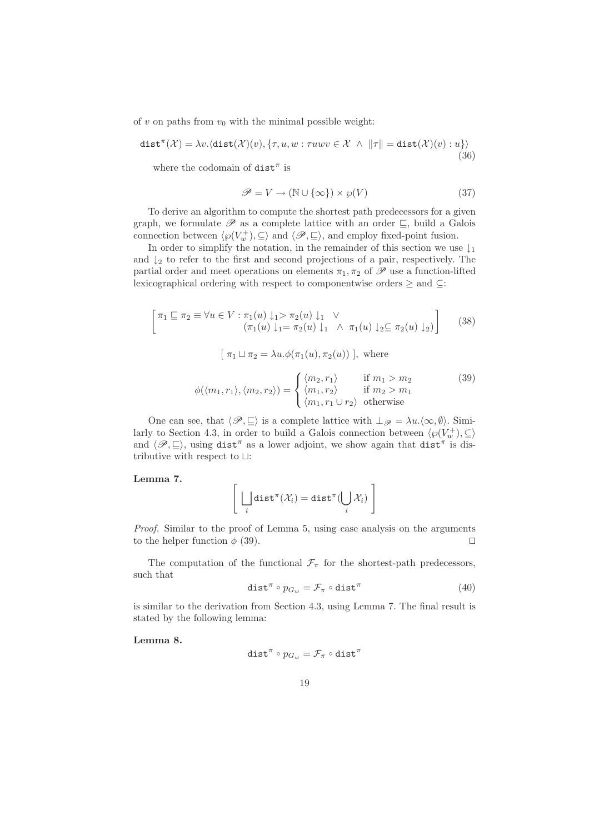of v on paths from  $v_0$  with the minimal possible weight:

$$
\text{dist}^{\pi}(\mathcal{X}) = \lambda v. \langle \text{dist}(\mathcal{X})(v), \{\tau, u, w : \tau u w v \in \mathcal{X} \ \land \ \|\tau\| = \text{dist}(\mathcal{X})(v) : u\} \rangle \tag{36}
$$

where the codomain of  $dist^{\pi}$  is

$$
\mathscr{P} = V \to (\mathbb{N} \cup \{\infty\}) \times \wp(V) \tag{37}
$$

To derive an algorithm to compute the shortest path predecessors for a given graph, we formulate  $\mathscr P$  as a complete lattice with an order  $\sqsubseteq$ , build a Galois connection between  $\langle \wp(V_w^+), \subseteq \rangle$  and  $\langle \mathcal{P}, \subseteq \rangle$ , and employ fixed-point fusion.

In order to simplify the notation, in the remainder of this section we use  $\downarrow_1$ and  $\downarrow_2$  to refer to the first and second projections of a pair, respectively. The partial order and meet operations on elements  $\pi_1, \pi_2$  of  $\mathscr P$  use a function-lifted lexicographical ordering with respect to componentwise orders  $\geq$  and  $\subseteq$ :

$$
\begin{bmatrix}\n\pi_1 \sqsubseteq \pi_2 \equiv \forall u \in V : \pi_1(u) \downarrow_1 > \pi_2(u) \downarrow_1 \quad \vee \\
(\pi_1(u) \downarrow_1 = \pi_2(u) \downarrow_1 \quad \wedge \quad \pi_1(u) \downarrow_2 \sqsubseteq \pi_2(u) \downarrow_2)\n\end{bmatrix} \tag{38}
$$

 $[\pi_1 \sqcup \pi_2 = \lambda u.\phi(\pi_1(u), \pi_2(u))]$ , where

$$
\phi(\langle m_1, r_1 \rangle, \langle m_2, r_2 \rangle) = \begin{cases} \langle m_2, r_1 \rangle & \text{if } m_1 > m_2 \\ \langle m_1, r_2 \rangle & \text{if } m_2 > m_1 \\ \langle m_1, r_1 \cup r_2 \rangle & \text{otherwise} \end{cases}
$$
(39)

One can see, that  $\langle \mathcal{P}, \sqsubseteq \rangle$  is a complete lattice with  $\bot_{\mathcal{P}} = \lambda u.\langle \infty, \emptyset \rangle$ . Similarly to Section 4.3, in order to build a Galois connection between  $\langle \wp(V_w^+), \subseteq \rangle$ and  $\langle \mathcal{P}, \sqsubseteq \rangle$ , using dist<sup>π</sup> as a lower adjoint, we show again that dist<sup>π</sup> is distributive with respect to ⊔:

### Lemma 7.

$$
\Bigg[\bigsqcup_i \textnormal{\texttt{dist}}^\pi(\mathcal{X}_i) = \textnormal{\texttt{dist}}^\pi(\bigcup_i \mathcal{X}_i) \hspace{0.1 cm}\Bigg]
$$

Proof. Similar to the proof of Lemma 5, using case analysis on the arguments to the helper function  $\phi$  (39). □

The computation of the functional  $\mathcal{F}_{\pi}$  for the shortest-path predecessors, such that

$$
\text{dist}^{\pi} \circ p_{G_w} = \mathcal{F}_{\pi} \circ \text{dist}^{\pi} \tag{40}
$$

is similar to the derivation from Section 4.3, using Lemma 7. The final result is stated by the following lemma:

Lemma 8.

$$
\mathrm{dist}^\pi \circ p_{G_w} = \mathcal{F}_\pi \circ \mathrm{dist}^\pi
$$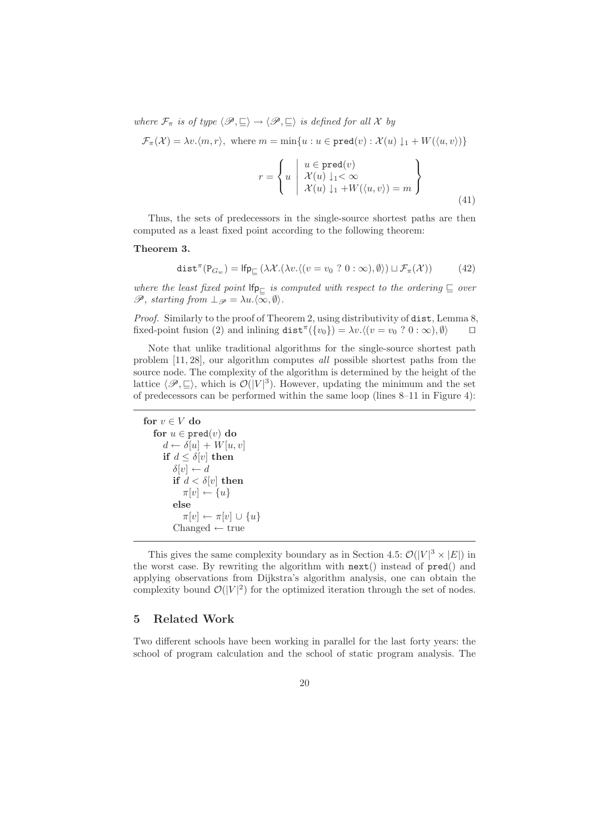where  $\mathcal{F}_{\pi}$  is of type  $\langle \mathcal{P}, \sqsubseteq \rangle \rightarrow \langle \mathcal{P}, \sqsubseteq \rangle$  is defined for all X by

$$
\mathcal{F}_{\pi}(\mathcal{X}) = \lambda v \cdot \langle m, r \rangle, \text{ where } m = \min\{u : u \in \text{pred}(v) : \mathcal{X}(u) \downarrow_{1} + W(\langle u, v \rangle)\}
$$
\n
$$
r = \begin{cases} u & \text{if } u \in \text{pred}(v) \\ \mathcal{X}(u) & \text{if } u < \infty \\ \mathcal{X}(u) & \text{if } u + W(\langle u, v \rangle) = m \end{cases}
$$

Thus, the sets of predecessors in the single-source shortest paths are then computed as a least fixed point according to the following theorem:

Theorem 3.

$$
\text{dist}^{\pi}(\mathbf{P}_{G_w}) = \text{Ifp}_{\sqsubseteq}(\lambda \mathcal{X}.(\lambda v. \langle (v = v_0 ? 0 : \infty), \emptyset \rangle) \sqcup \mathcal{F}_{\pi}(\mathcal{X}))
$$
(42)

(41)

where the least fixed point lfp<sub>⊏</sub> is computed with respect to the ordering  $\subseteq$  over  $\mathscr{P}$ , starting from  $\perp_{\mathscr{P}} = \lambda u.\langle \infty, \emptyset \rangle$ .

Proof. Similarly to the proof of Theorem 2, using distributivity of dist, Lemma 8, fixed-point fusion (2) and inlining  $dist^{\pi}(\{v_0\}) = \lambda v.\langle (v = v_0 ? 0 : \infty), \emptyset \rangle$ 

Note that unlike traditional algorithms for the single-source shortest path problem [11, 28], our algorithm computes all possible shortest paths from the source node. The complexity of the algorithm is determined by the height of the lattice  $\langle \mathcal{P}, \subseteq \rangle$ , which is  $\mathcal{O}(|V|^3)$ . However, updating the minimum and the set of predecessors can be performed within the same loop (lines 8–11 in Figure 4):

```
for v \in V do
   for u \in \text{pred}(v) do
       d \leftarrow \delta[u] + W[u, v]if d \leq \delta[v] then
          \delta[v] \leftarrow dif d < \delta[v] then
             \pi[v] \leftarrow \{u\}else
              \pi[v] \leftarrow \pi[v] \cup \{u\}Changed ← true
```
This gives the same complexity boundary as in Section 4.5:  $\mathcal{O}(|V|^3 \times |E|)$  in the worst case. By rewriting the algorithm with next() instead of pred() and applying observations from Dijkstra's algorithm analysis, one can obtain the complexity bound  $\mathcal{O}(|V|^2)$  for the optimized iteration through the set of nodes.

# 5 Related Work

Two different schools have been working in parallel for the last forty years: the school of program calculation and the school of static program analysis. The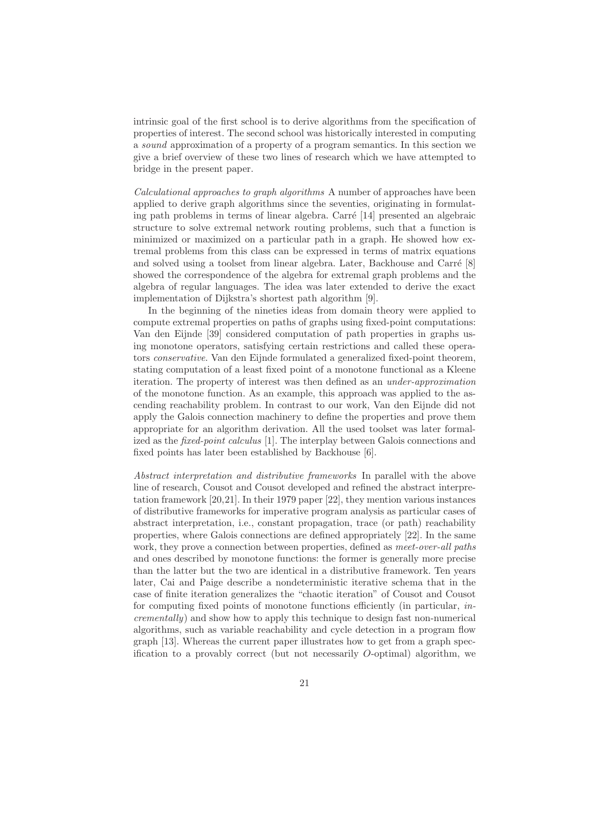intrinsic goal of the first school is to derive algorithms from the specification of properties of interest. The second school was historically interested in computing a sound approximation of a property of a program semantics. In this section we give a brief overview of these two lines of research which we have attempted to bridge in the present paper.

Calculational approaches to graph algorithms A number of approaches have been applied to derive graph algorithms since the seventies, originating in formulating path problems in terms of linear algebra. Carré [14] presented an algebraic structure to solve extremal network routing problems, such that a function is minimized or maximized on a particular path in a graph. He showed how extremal problems from this class can be expressed in terms of matrix equations and solved using a toolset from linear algebra. Later, Backhouse and Carré  $[8]$ showed the correspondence of the algebra for extremal graph problems and the algebra of regular languages. The idea was later extended to derive the exact implementation of Dijkstra's shortest path algorithm [9].

In the beginning of the nineties ideas from domain theory were applied to compute extremal properties on paths of graphs using fixed-point computations: Van den Eijnde [39] considered computation of path properties in graphs using monotone operators, satisfying certain restrictions and called these operators conservative. Van den Eijnde formulated a generalized fixed-point theorem, stating computation of a least fixed point of a monotone functional as a Kleene iteration. The property of interest was then defined as an under-approximation of the monotone function. As an example, this approach was applied to the ascending reachability problem. In contrast to our work, Van den Eijnde did not apply the Galois connection machinery to define the properties and prove them appropriate for an algorithm derivation. All the used toolset was later formalized as the fixed-point calculus [1]. The interplay between Galois connections and fixed points has later been established by Backhouse [6].

Abstract interpretation and distributive frameworks In parallel with the above line of research, Cousot and Cousot developed and refined the abstract interpretation framework [20,21]. In their 1979 paper [22], they mention various instances of distributive frameworks for imperative program analysis as particular cases of abstract interpretation, i.e., constant propagation, trace (or path) reachability properties, where Galois connections are defined appropriately [22]. In the same work, they prove a connection between properties, defined as *meet-over-all paths* and ones described by monotone functions: the former is generally more precise than the latter but the two are identical in a distributive framework. Ten years later, Cai and Paige describe a nondeterministic iterative schema that in the case of finite iteration generalizes the "chaotic iteration" of Cousot and Cousot for computing fixed points of monotone functions efficiently (in particular, incrementally) and show how to apply this technique to design fast non-numerical algorithms, such as variable reachability and cycle detection in a program flow graph [13]. Whereas the current paper illustrates how to get from a graph specification to a provably correct (but not necessarily O-optimal) algorithm, we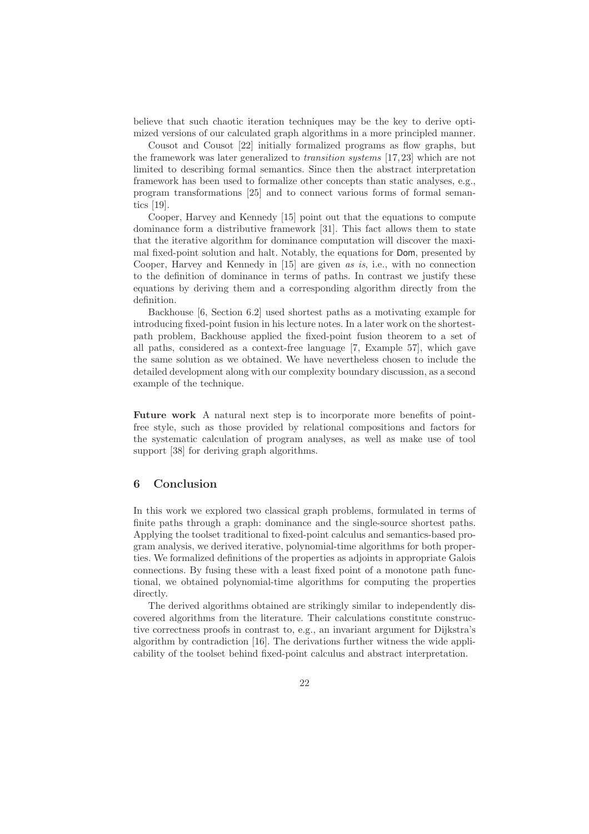believe that such chaotic iteration techniques may be the key to derive optimized versions of our calculated graph algorithms in a more principled manner.

Cousot and Cousot [22] initially formalized programs as flow graphs, but the framework was later generalized to transition systems [17,23] which are not limited to describing formal semantics. Since then the abstract interpretation framework has been used to formalize other concepts than static analyses, e.g., program transformations [25] and to connect various forms of formal semantics [19].

Cooper, Harvey and Kennedy [15] point out that the equations to compute dominance form a distributive framework [31]. This fact allows them to state that the iterative algorithm for dominance computation will discover the maximal fixed-point solution and halt. Notably, the equations for Dom, presented by Cooper, Harvey and Kennedy in [15] are given as is, i.e., with no connection to the definition of dominance in terms of paths. In contrast we justify these equations by deriving them and a corresponding algorithm directly from the definition.

Backhouse [6, Section 6.2] used shortest paths as a motivating example for introducing fixed-point fusion in his lecture notes. In a later work on the shortestpath problem, Backhouse applied the fixed-point fusion theorem to a set of all paths, considered as a context-free language [7, Example 57], which gave the same solution as we obtained. We have nevertheless chosen to include the detailed development along with our complexity boundary discussion, as a second example of the technique.

Future work A natural next step is to incorporate more benefits of pointfree style, such as those provided by relational compositions and factors for the systematic calculation of program analyses, as well as make use of tool support [38] for deriving graph algorithms.

# 6 Conclusion

In this work we explored two classical graph problems, formulated in terms of finite paths through a graph: dominance and the single-source shortest paths. Applying the toolset traditional to fixed-point calculus and semantics-based program analysis, we derived iterative, polynomial-time algorithms for both properties. We formalized definitions of the properties as adjoints in appropriate Galois connections. By fusing these with a least fixed point of a monotone path functional, we obtained polynomial-time algorithms for computing the properties directly.

The derived algorithms obtained are strikingly similar to independently discovered algorithms from the literature. Their calculations constitute constructive correctness proofs in contrast to, e.g., an invariant argument for Dijkstra's algorithm by contradiction [16]. The derivations further witness the wide applicability of the toolset behind fixed-point calculus and abstract interpretation.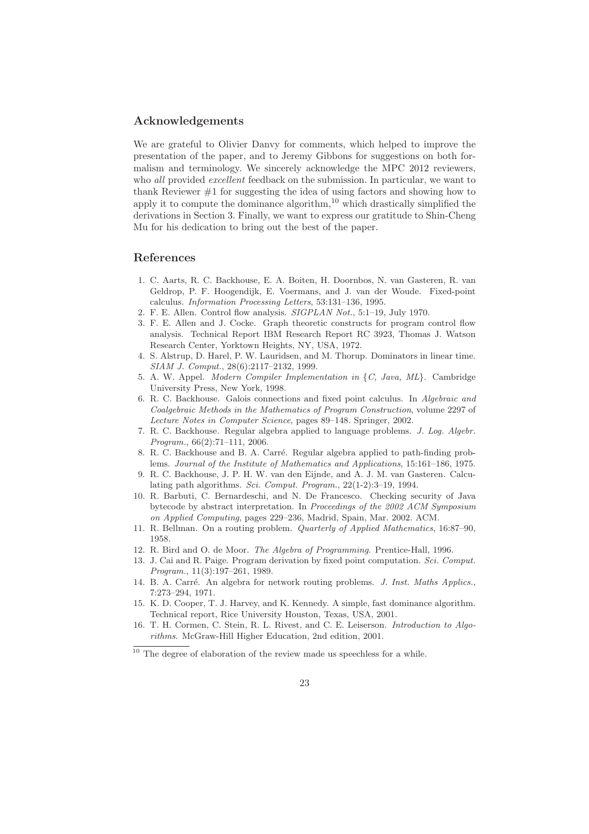# Acknowledgements

We are grateful to Olivier Danvy for comments, which helped to improve the presentation of the paper, and to Jeremy Gibbons for suggestions on both formalism and terminology. We sincerely acknowledge the MPC 2012 reviewers, who *all* provided *excellent* feedback on the submission. In particular, we want to thank Reviewer #1 for suggesting the idea of using factors and showing how to apply it to compute the dominance algorithm, $10$  which drastically simplified the derivations in Section 3. Finally, we want to express our gratitude to Shin-Cheng Mu for his dedication to bring out the best of the paper.

# References

- 1. C. Aarts, R. C. Backhouse, E. A. Boiten, H. Doornbos, N. van Gasteren, R. van Geldrop, P. F. Hoogendijk, E. Voermans, and J. van der Woude. Fixed-point calculus. *Information Processing Letters*, 53:131–136, 1995.
- 2. F. E. Allen. Control flow analysis. *SIGPLAN Not.*, 5:1–19, July 1970.
- 3. F. E. Allen and J. Cocke. Graph theoretic constructs for program control flow analysis. Technical Report IBM Research Report RC 3923, Thomas J. Watson Research Center, Yorktown Heights, NY, USA, 1972.
- 4. S. Alstrup, D. Harel, P. W. Lauridsen, and M. Thorup. Dominators in linear time. *SIAM J. Comput.*, 28(6):2117–2132, 1999.
- 5. A. W. Appel. *Modern Compiler Implementation in* {*C, Java, ML*}. Cambridge University Press, New York, 1998.
- 6. R. C. Backhouse. Galois connections and fixed point calculus. In *Algebraic and Coalgebraic Methods in the Mathematics of Program Construction*, volume 2297 of *Lecture Notes in Computer Science*, pages 89–148. Springer, 2002.
- 7. R. C. Backhouse. Regular algebra applied to language problems. *J. Log. Algebr. Program.*, 66(2):71–111, 2006.
- 8. R. C. Backhouse and B. A. Carré. Regular algebra applied to path-finding problems. *Journal of the Institute of Mathematics and Applications*, 15:161–186, 1975.
- 9. R. C. Backhouse, J. P. H. W. van den Eijnde, and A. J. M. van Gasteren. Calculating path algorithms. *Sci. Comput. Program.*, 22(1-2):3–19, 1994.
- 10. R. Barbuti, C. Bernardeschi, and N. De Francesco. Checking security of Java bytecode by abstract interpretation. In *Proceedings of the 2002 ACM Symposium on Applied Computing*, pages 229–236, Madrid, Spain, Mar. 2002. ACM.
- 11. R. Bellman. On a routing problem. *Quarterly of Applied Mathematics*, 16:87–90, 1958.
- 12. R. Bird and O. de Moor. *The Algebra of Programming*. Prentice-Hall, 1996.
- 13. J. Cai and R. Paige. Program derivation by fixed point computation. *Sci. Comput. Program.*, 11(3):197–261, 1989.
- 14. B. A. Carr´e. An algebra for network routing problems. *J. Inst. Maths Applics.*, 7:273–294, 1971.
- 15. K. D. Cooper, T. J. Harvey, and K. Kennedy. A simple, fast dominance algorithm. Technical report, Rice University Houston, Texas, USA, 2001.
- 16. T. H. Cormen, C. Stein, R. L. Rivest, and C. E. Leiserson. *Introduction to Algorithms*. McGraw-Hill Higher Education, 2nd edition, 2001.

 $10$  The degree of elaboration of the review made us speechless for a while.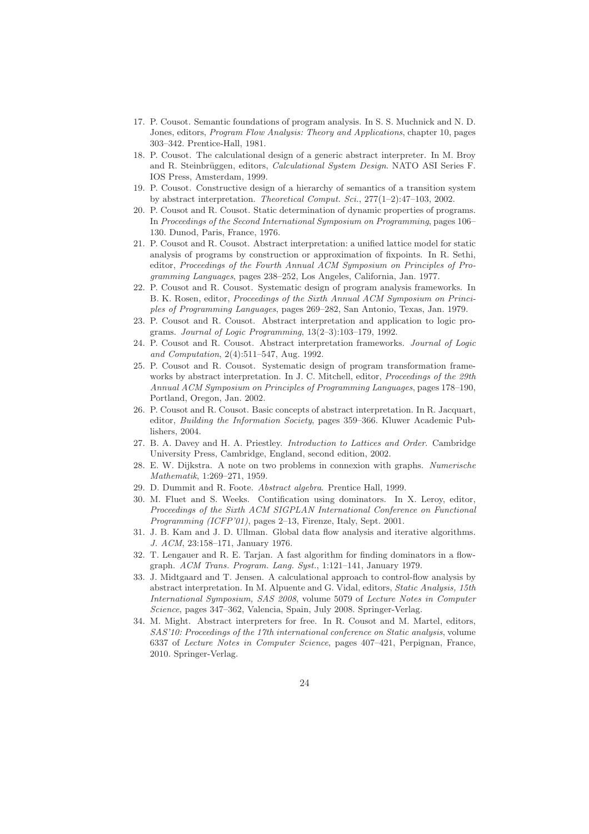- 17. P. Cousot. Semantic foundations of program analysis. In S. S. Muchnick and N. D. Jones, editors, *Program Flow Analysis: Theory and Applications*, chapter 10, pages 303–342. Prentice-Hall, 1981.
- 18. P. Cousot. The calculational design of a generic abstract interpreter. In M. Broy and R. Steinbrüggen, editors, *Calculational System Design*. NATO ASI Series F. IOS Press, Amsterdam, 1999.
- 19. P. Cousot. Constructive design of a hierarchy of semantics of a transition system by abstract interpretation. *Theoretical Comput. Sci.*, 277(1–2):47–103, 2002.
- 20. P. Cousot and R. Cousot. Static determination of dynamic properties of programs. In *Proceedings of the Second International Symposium on Programming*, pages 106– 130. Dunod, Paris, France, 1976.
- 21. P. Cousot and R. Cousot. Abstract interpretation: a unified lattice model for static analysis of programs by construction or approximation of fixpoints. In R. Sethi, editor, *Proceedings of the Fourth Annual ACM Symposium on Principles of Programming Languages*, pages 238–252, Los Angeles, California, Jan. 1977.
- 22. P. Cousot and R. Cousot. Systematic design of program analysis frameworks. In B. K. Rosen, editor, *Proceedings of the Sixth Annual ACM Symposium on Principles of Programming Languages*, pages 269–282, San Antonio, Texas, Jan. 1979.
- 23. P. Cousot and R. Cousot. Abstract interpretation and application to logic programs. *Journal of Logic Programming*, 13(2–3):103–179, 1992.
- 24. P. Cousot and R. Cousot. Abstract interpretation frameworks. *Journal of Logic and Computation*, 2(4):511–547, Aug. 1992.
- 25. P. Cousot and R. Cousot. Systematic design of program transformation frameworks by abstract interpretation. In J. C. Mitchell, editor, *Proceedings of the 29th Annual ACM Symposium on Principles of Programming Languages*, pages 178–190, Portland, Oregon, Jan. 2002.
- 26. P. Cousot and R. Cousot. Basic concepts of abstract interpretation. In R. Jacquart, editor, *Building the Information Society*, pages 359–366. Kluwer Academic Publishers, 2004.
- 27. B. A. Davey and H. A. Priestley. *Introduction to Lattices and Order*. Cambridge University Press, Cambridge, England, second edition, 2002.
- 28. E. W. Dijkstra. A note on two problems in connexion with graphs. *Numerische Mathematik*, 1:269–271, 1959.
- 29. D. Dummit and R. Foote. *Abstract algebra*. Prentice Hall, 1999.
- 30. M. Fluet and S. Weeks. Contification using dominators. In X. Leroy, editor, *Proceedings of the Sixth ACM SIGPLAN International Conference on Functional Programming (ICFP'01)*, pages 2–13, Firenze, Italy, Sept. 2001.
- 31. J. B. Kam and J. D. Ullman. Global data flow analysis and iterative algorithms. *J. ACM*, 23:158–171, January 1976.
- 32. T. Lengauer and R. E. Tarjan. A fast algorithm for finding dominators in a flowgraph. *ACM Trans. Program. Lang. Syst.*, 1:121–141, January 1979.
- 33. J. Midtgaard and T. Jensen. A calculational approach to control-flow analysis by abstract interpretation. In M. Alpuente and G. Vidal, editors, *Static Analysis, 15th International Symposium, SAS 2008*, volume 5079 of *Lecture Notes in Computer Science*, pages 347–362, Valencia, Spain, July 2008. Springer-Verlag.
- 34. M. Might. Abstract interpreters for free. In R. Cousot and M. Martel, editors, *SAS'10: Proceedings of the 17th international conference on Static analysis*, volume 6337 of *Lecture Notes in Computer Science*, pages 407–421, Perpignan, France, 2010. Springer-Verlag.